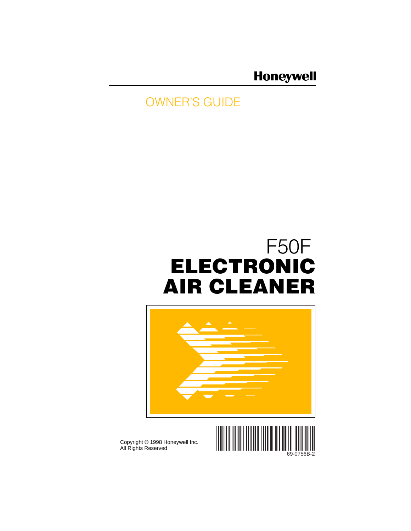# **Honeywell**

# OWNER'S GUIDE

# F50F **ELECTRONIC AIR CLEANER**





69-0756B-2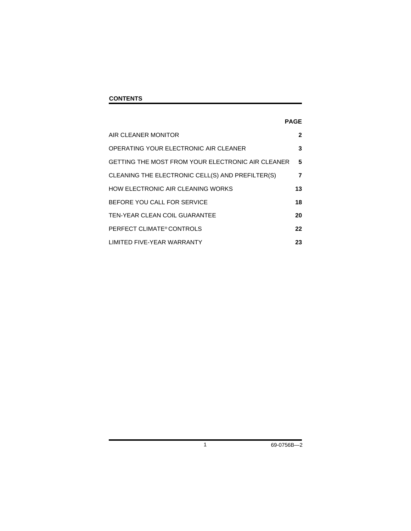### **CONTENTS**

### **PAGE**

| AIR CLEANER MONITOR                               | $\mathbf{2}$ |
|---------------------------------------------------|--------------|
| OPERATING YOUR ELECTRONIC AIR CLEANER             | 3            |
| GETTING THE MOST FROM YOUR ELECTRONIC AIR CLEANER | 5            |
| CLEANING THE ELECTRONIC CELL(S) AND PREFILTER(S)  | 7            |
| HOW ELECTRONIC AIR CLEANING WORKS                 | 13           |
| BEFORE YOU CALL FOR SERVICE                       | 18           |
| TEN-YEAR CLEAN COIL GUARANTEE                     | 20           |
| PERFECT CLIMATE® CONTROLS                         | 22           |
| <b>LIMITED FIVE-YEAR WARRANTY</b>                 | 23           |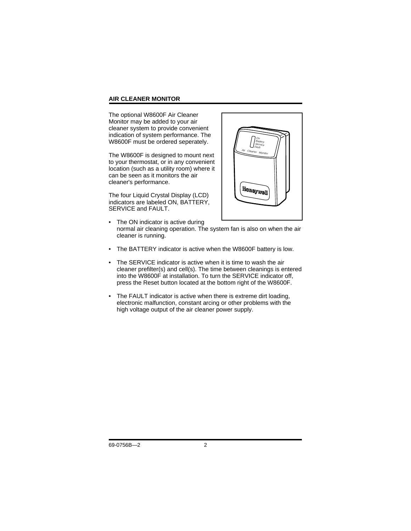### **AIR CLEANER MONITOR**

The optional W8600F Air Cleaner Monitor may be added to your air cleaner system to provide convenient indication of system performance. The W8600F must be ordered seperately.

The W8600F is designed to mount next to your thermostat, or in any convenient location (such as a utility room) where it can be seen as it monitors the air cleaner's performance.

The four Liquid Crystal Display (LCD) indicators are labeled ON, BATTERY, SERVICE and FAULT.



- The ON indicator is active during normal air cleaning operation. The system fan is also on when the air cleaner is running.
- The BATTERY indicator is active when the W8600F battery is low.
- The SERVICE indicator is active when it is time to wash the air cleaner prefilter(s) and cell(s). The time between cleanings is entered into the W8600F at installation. To turn the SERVICE indicator off, press the Reset button located at the bottom right of the W8600F.
- The FAULT indicator is active when there is extreme dirt loading, electronic malfunction, constant arcing or other problems with the high voltage output of the air cleaner power supply.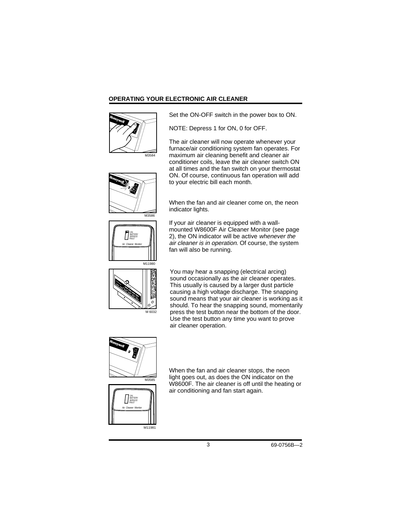### **OPERATING YOUR ELECTRONIC AIR CLEANER**



Set the ON-OFF switch in the power box to ON.

NOTE: Depress 1 for ON, 0 for OFF.

The air cleaner will now operate whenever your furnace/air conditioning system fan operates. For maximum air cleaning benefit and cleaner air conditioner coils, leave the air cleaner switch ON at all times and the fan switch on your thermostat ON. Of course, continuous fan operation will add to your electric bill each month.





When the fan and air cleaner come on, the neon indicator lights.

If your air cleaner is equipped with a wallmounted W8600F Air Cleaner Monitor (see page 2), the ON indicator will be active whenever the air cleaner is in operation. Of course, the system fan will also be running.



You may hear a snapping (electrical arcing) sound occasionally as the air cleaner operates. This usually is caused by a larger dust particle causing a high voltage discharge. The snapping sound means that your air cleaner is working as it should. To hear the snapping sound, momentarily press the test button near the bottom of the door. Use the test button any time you want to prove air cleaner operation.





When the fan and air cleaner stops, the neon light goes out, as does the ON indicator on the W8600F. The air cleaner is off until the heating or air conditioning and fan start again.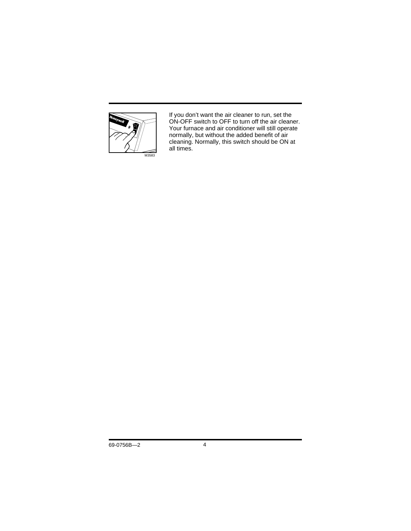

If you don't want the air cleaner to run, set the ON-OFF switch to OFF to turn off the air cleaner. Your furnace and air conditioner will still operate normally, but without the added benefit of air cleaning. Normally, this switch should be ON at all times.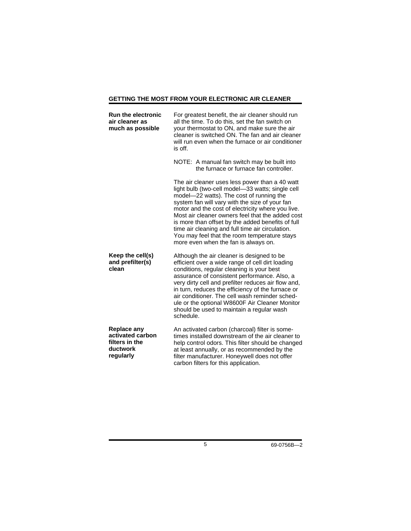### **GETTING THE MOST FROM YOUR ELECTRONIC AIR CLEANER**

| <b>Run the electronic</b><br>air cleaner as<br>much as possible                   | For greatest benefit, the air cleaner should run<br>all the time. To do this, set the fan switch on<br>your thermostat to ON, and make sure the air<br>cleaner is switched ON. The fan and air cleaner<br>will run even when the furnace or air conditioner<br>is off.                                                                                                                                                                                                                                     |
|-----------------------------------------------------------------------------------|------------------------------------------------------------------------------------------------------------------------------------------------------------------------------------------------------------------------------------------------------------------------------------------------------------------------------------------------------------------------------------------------------------------------------------------------------------------------------------------------------------|
|                                                                                   | NOTE: A manual fan switch may be built into<br>the furnace or furnace fan controller.                                                                                                                                                                                                                                                                                                                                                                                                                      |
|                                                                                   | The air cleaner uses less power than a 40 watt<br>light bulb (two-cell model-33 watts; single cell<br>model-22 watts). The cost of running the<br>system fan will vary with the size of your fan<br>motor and the cost of electricity where you live.<br>Most air cleaner owners feel that the added cost<br>is more than offset by the added benefits of full<br>time air cleaning and full time air circulation.<br>You may feel that the room temperature stays<br>more even when the fan is always on. |
| Keep the cell(s)<br>and prefilter(s)<br>clean                                     | Although the air cleaner is designed to be<br>efficient over a wide range of cell dirt loading<br>conditions, regular cleaning is your best<br>assurance of consistent performance. Also, a<br>very dirty cell and prefilter reduces air flow and,<br>in turn, reduces the efficiency of the furnace or<br>air conditioner. The cell wash reminder sched-<br>ule or the optional W8600F Air Cleaner Monitor<br>should be used to maintain a regular wash<br>schedule.                                      |
| <b>Replace any</b><br>activated carbon<br>filters in the<br>ductwork<br>regularly | An activated carbon (charcoal) filter is some-<br>times installed downstream of the air cleaner to<br>help control odors. This filter should be changed<br>at least annually, or as recommended by the<br>filter manufacturer. Honeywell does not offer<br>carbon filters for this application.                                                                                                                                                                                                            |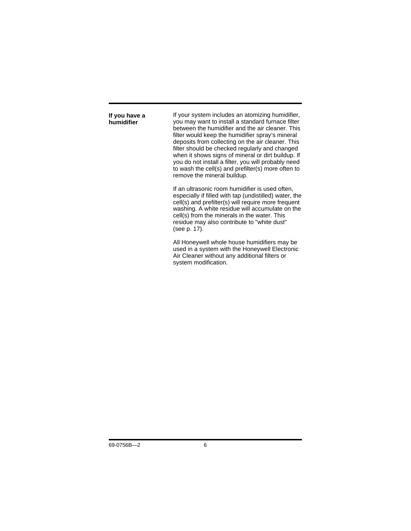**If you have a humidifier**

If your system includes an atomizing humidifier, you may want to install a standard furnace filter between the humidifier and the air cleaner. This filter would keep the humidifier spray's mineral deposits from collecting on the air cleaner. This filter should be checked regularly and changed when it shows signs of mineral or dirt buildup. If you do not install a filter, you will probably need to wash the cell(s) and prefilter(s) more often to remove the mineral buildup.

If an ultrasonic room humidifier is used often, especially if filled with tap (undistilled) water, the cell(s) and prefilter(s) will require more frequent washing. A white residue will accumulate on the cell(s) from the minerals in the water. This residue may also contribute to "white dust" (see p. 17).

All Honeywell whole house humidifiers may be used in a system with the Honeywell Electronic Air Cleaner without any additional filters or system modification.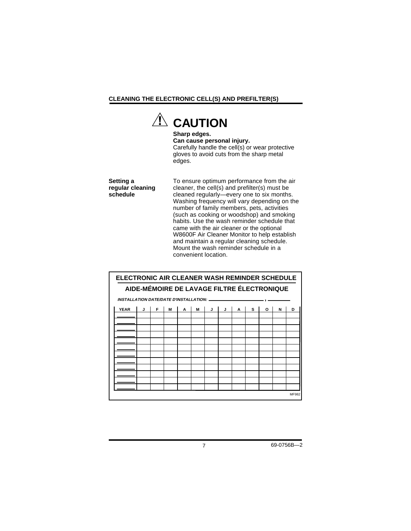### **CLEANING THE ELECTRONIC CELL(S) AND PREFILTER(S)**



**Sharp edges. Can cause personal injury.** Carefully handle the cell(s) or wear protective gloves to avoid cuts from the sharp metal edges.

**Setting a regular cleaning schedule**

To ensure optimum performance from the air cleaner, the cell(s) and prefilter(s) must be cleaned regularly—every one to six months. Washing frequency will vary depending on the number of family members, pets, activities (such as cooking or woodshop) and smoking habits. Use the wash reminder schedule that came with the air cleaner or the optional W8600F Air Cleaner Monitor to help establish and maintain a regular cleaning schedule. Mount the wash reminder schedule in a convenient location.

| ELECTRONIC AIR CLEANER WASH REMINDER SCHEDULE   |                                            |   |   |   |   |   |   |   |   |   |   |   |
|-------------------------------------------------|--------------------------------------------|---|---|---|---|---|---|---|---|---|---|---|
|                                                 | AIDE-MÉMOIRE DE LAVAGE FILTRE ÉLECTRONIQUE |   |   |   |   |   |   |   |   |   |   |   |
| <b>INSTALLATION DATE/DATE D'INSTALLATION: -</b> |                                            |   |   |   |   |   |   |   |   |   |   |   |
| <b>YEAR</b>                                     | J                                          | F | M | A | M | J | J | A | s | O | N | D |
|                                                 |                                            |   |   |   |   |   |   |   |   |   |   |   |
|                                                 |                                            |   |   |   |   |   |   |   |   |   |   |   |
|                                                 |                                            |   |   |   |   |   |   |   |   |   |   |   |
|                                                 |                                            |   |   |   |   |   |   |   |   |   |   |   |
|                                                 |                                            |   |   |   |   |   |   |   |   |   |   |   |
|                                                 |                                            |   |   |   |   |   |   |   |   |   |   |   |
|                                                 |                                            |   |   |   |   |   |   |   |   |   |   |   |
| MF982                                           |                                            |   |   |   |   |   |   |   |   |   |   |   |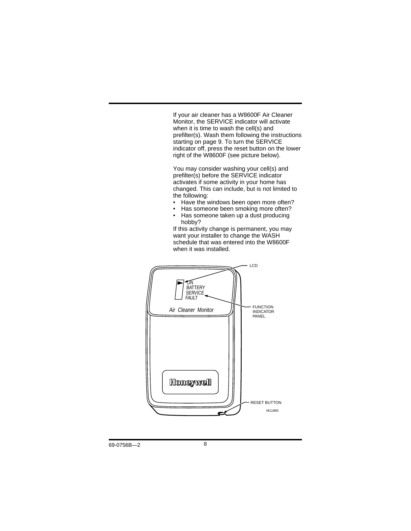If your air cleaner has a W8600F Air Cleaner Monitor, the SERVICE indicator will activate when it is time to wash the cell(s) and prefilter(s). Wash them following the instructions starting on page 9. To turn the SERVICE indicator off, press the reset button on the lower right of the W8600F (see picture below).

You may consider washing your cell(s) and prefilter(s) before the SERVICE indicator activates if some activity in your home has changed. This can include, but is not limited to the following:<br>• Have the v

- Have the windows been open more often?
- Has someone been smoking more often?
- Has someone taken up a dust producing hobby?

If this activity change is permanent, you may want your installer to change the WASH schedule that was entered into the W8600F when it was installed.

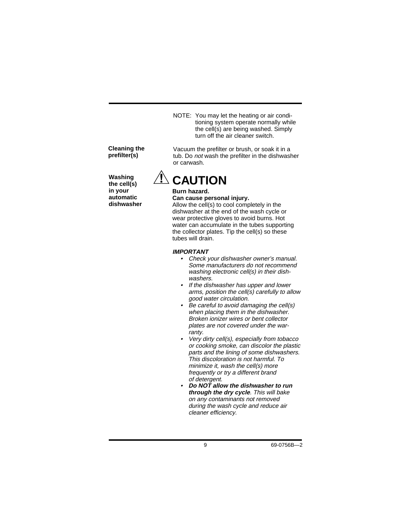NOTE: You may let the heating or air conditioning system operate normally while the cell(s) are being washed. Simply turn off the air cleaner switch.

Vacuum the prefilter or brush, or soak it in a tub. Do not wash the prefilter in the dishwasher

### **Cleaning the prefilter(s)**

**Washing the cell(s) in your automatic dishwasher**

# or carwash. **CAUTION**

## **Burn hazard.**

### **Can cause personal injury.**

Allow the cell(s) to cool completely in the dishwasher at the end of the wash cycle or wear protective gloves to avoid burns. Hot water can accumulate in the tubes supporting the collector plates. Tip the cell(s) so these tubes will drain.

### **IMPORTANT**

- Check your dishwasher owner's manual. Some manufacturers do not recommend washing electronic cell(s) in their dishwashers.
- If the dishwasher has upper and lower arms, position the cell(s) carefully to allow good water circulation.
- Be careful to avoid damaging the cell(s) when placing them in the dishwasher. Broken ionizer wires or bent collector plates are not covered under the warranty.
- • Very dirty cell(s), especially from tobacco or cooking smoke, can discolor the plastic parts and the lining of some dishwashers. This discoloration is not harmful. To minimize it, wash the cell(s) more frequently or try a different brand of detergent.
- • **Do NOT allow the dishwasher to run through the dry cycle**. This will bake on any contaminants not removed during the wash cycle and reduce air cleaner efficiency.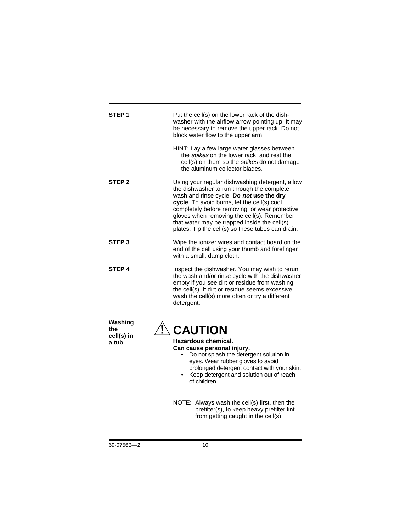| STEP 1                                | Put the cell(s) on the lower rack of the dish-<br>washer with the airflow arrow pointing up. It may<br>be necessary to remove the upper rack. Do not<br>block water flow to the upper arm.                                                                                                                                                                                                           |
|---------------------------------------|------------------------------------------------------------------------------------------------------------------------------------------------------------------------------------------------------------------------------------------------------------------------------------------------------------------------------------------------------------------------------------------------------|
|                                       | HINT: Lay a few large water glasses between<br>the spikes on the lower rack, and rest the<br>cell(s) on them so the spikes do not damage<br>the aluminum collector blades.                                                                                                                                                                                                                           |
| STEP <sub>2</sub>                     | Using your regular dishwashing detergent, allow<br>the dishwasher to run through the complete<br>wash and rinse cycle. Do not use the dry<br>cycle. To avoid burns, let the cell(s) cool<br>completely before removing, or wear protective<br>gloves when removing the cell(s). Remember<br>that water may be trapped inside the cell(s)<br>plates. Tip the cell(s) so these tubes can drain.        |
| STEP <sub>3</sub>                     | Wipe the ionizer wires and contact board on the<br>end of the cell using your thumb and forefinger<br>with a small, damp cloth.                                                                                                                                                                                                                                                                      |
| <b>STEP 4</b>                         | Inspect the dishwasher. You may wish to rerun<br>the wash and/or rinse cycle with the dishwasher<br>empty if you see dirt or residue from washing<br>the cell(s). If dirt or residue seems excessive,<br>wash the cell(s) more often or try a different<br>detergent.                                                                                                                                |
| Washing<br>the<br>cell(s) in<br>a tub | <b>CAUTION</b><br>Hazardous chemical.<br>Can cause personal injury.<br>Do not splash the detergent solution in<br>eyes. Wear rubber gloves to avoid<br>prolonged detergent contact with your skin.<br>Keep detergent and solution out of reach<br>of children.<br>NOTE: Always wash the cell(s) first, then the<br>prefilter(s), to keep heavy prefilter lint<br>from getting caught in the cell(s). |
|                                       |                                                                                                                                                                                                                                                                                                                                                                                                      |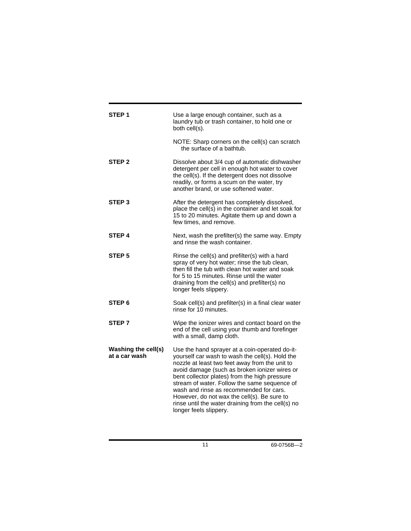| STEP 1                               | Use a large enough container, such as a<br>laundry tub or trash container, to hold one or<br>both cell(s).                                                                                                                                                                                                                                                                                                                                                                      |
|--------------------------------------|---------------------------------------------------------------------------------------------------------------------------------------------------------------------------------------------------------------------------------------------------------------------------------------------------------------------------------------------------------------------------------------------------------------------------------------------------------------------------------|
|                                      | NOTE: Sharp corners on the cell(s) can scratch<br>the surface of a bathtub.                                                                                                                                                                                                                                                                                                                                                                                                     |
| STEP <sub>2</sub>                    | Dissolve about 3/4 cup of automatic dishwasher<br>detergent per cell in enough hot water to cover<br>the cell(s). If the detergent does not dissolve<br>readily, or forms a scum on the water, try<br>another brand, or use softened water.                                                                                                                                                                                                                                     |
| STEP <sub>3</sub>                    | After the detergent has completely dissolved,<br>place the cell(s) in the container and let soak for<br>15 to 20 minutes. Agitate them up and down a<br>few times, and remove.                                                                                                                                                                                                                                                                                                  |
| STEP <sub>4</sub>                    | Next, wash the prefilter(s) the same way. Empty<br>and rinse the wash container.                                                                                                                                                                                                                                                                                                                                                                                                |
| STEP <sub>5</sub>                    | Rinse the cell(s) and prefilter(s) with a hard<br>spray of very hot water; rinse the tub clean,<br>then fill the tub with clean hot water and soak<br>for 5 to 15 minutes. Rinse until the water<br>draining from the cell(s) and prefilter(s) no<br>longer feels slippery.                                                                                                                                                                                                     |
| STEP <sub>6</sub>                    | Soak cell(s) and prefilter(s) in a final clear water<br>rinse for 10 minutes.                                                                                                                                                                                                                                                                                                                                                                                                   |
| STEP <sub>7</sub>                    | Wipe the ionizer wires and contact board on the<br>end of the cell using your thumb and forefinger<br>with a small, damp cloth.                                                                                                                                                                                                                                                                                                                                                 |
| Washing the cell(s)<br>at a car wash | Use the hand sprayer at a coin-operated do-it-<br>yourself car wash to wash the cell(s). Hold the<br>nozzle at least two feet away from the unit to<br>avoid damage (such as broken ionizer wires or<br>bent collector plates) from the high pressure<br>stream of water. Follow the same sequence of<br>wash and rinse as recommended for cars.<br>However, do not wax the cell(s). Be sure to<br>rinse until the water draining from the cell(s) no<br>longer feels slippery. |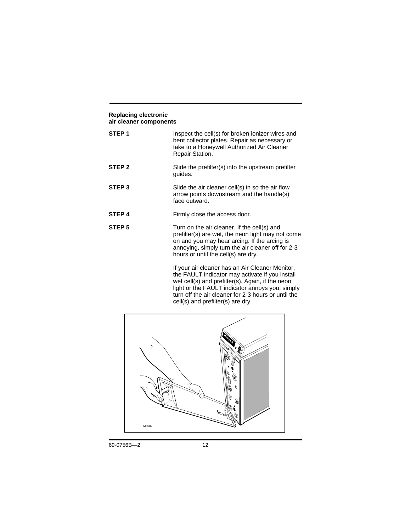#### **Replacing electronic air cleaner components**

| STEP <sub>1</sub> | Inspect the cell(s) for broken ionizer wires and<br>bent collector plates. Repair as necessary or<br>take to a Honeywell Authorized Air Cleaner<br>Repair Station.                                                                           |
|-------------------|----------------------------------------------------------------------------------------------------------------------------------------------------------------------------------------------------------------------------------------------|
| STEP <sub>2</sub> | Slide the prefilter(s) into the upstream prefilter<br>guides.                                                                                                                                                                                |
| STEP <sub>3</sub> | Slide the air cleaner cell(s) in so the air flow<br>arrow points downstream and the handle(s)<br>face outward.                                                                                                                               |
| STEP <sub>4</sub> | Firmly close the access door.                                                                                                                                                                                                                |
| STEP <sub>5</sub> | Turn on the air cleaner. If the cell(s) and<br>prefilter(s) are wet, the neon light may not come<br>on and you may hear arcing. If the arcing is<br>annoying, simply turn the air cleaner off for 2-3<br>hours or until the cell(s) are dry. |
|                   | If your air cleaner has an Air Cleaner Monitor,<br>the FAULT indicator may activate if you install<br>wet cell(s) and prefilter(s). Again, if the neon<br>light or the FAULT indicator annoys you, simply                                    |



turn off the air cleaner for 2-3 hours or until the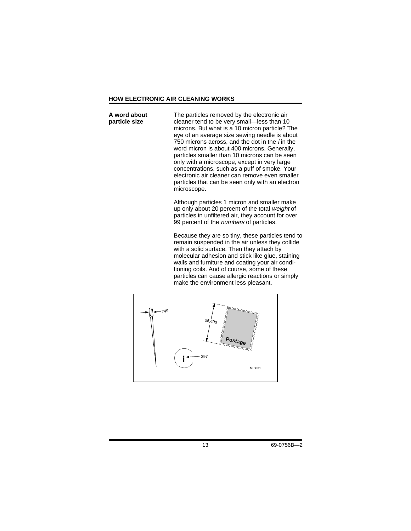### **HOW ELECTRONIC AIR CLEANING WORKS**

The particles removed by the electronic air cleaner tend to be very small—less than 10 microns. But what is a 10 micron particle? The eye of an average size sewing needle is about 750 microns across, and the dot in the  $i$  in the word micron is about 400 microns. Generally, particles smaller than 10 microns can be seen only with a microscope, except in very large concentrations, such as a puff of smoke. Your electronic air cleaner can remove even smaller particles that can be seen only with an electron microscope. **A word about particle size**

> Although particles 1 micron and smaller make up only about 20 percent of the total weight of particles in unfiltered air, they account for over 99 percent of the numbers of particles.

Because they are so tiny, these particles tend to remain suspended in the air unless they collide with a solid surface. Then they attach by molecular adhesion and stick like glue, staining walls and furniture and coating your air conditioning coils. And of course, some of these particles can cause allergic reactions or simply make the environment less pleasant.

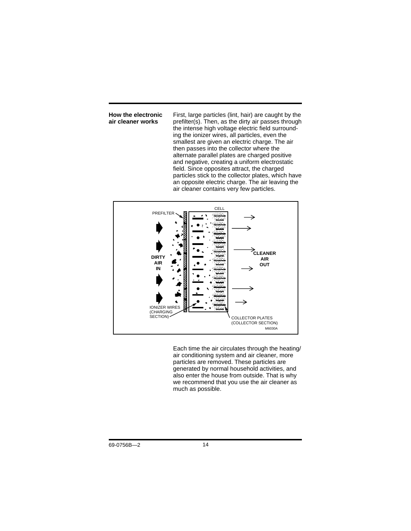**How the electronic air cleaner works**

First, large particles (lint, hair) are caught by the prefilter(s). Then, as the dirty air passes through the intense high voltage electric field surrounding the ionizer wires, all particles, even the smallest are given an electric charge. The air then passes into the collector where the alternate parallel plates are charged positive and negative, creating a uniform electrostatic field. Since opposites attract, the charged particles stick to the collector plates, which have an opposite electric charge. The air leaving the air cleaner contains very few particles.



Each time the air circulates through the heating/ air conditioning system and air cleaner, more particles are removed. These particles are generated by normal household activities, and also enter the house from outside. That is why we recommend that you use the air cleaner as much as possible.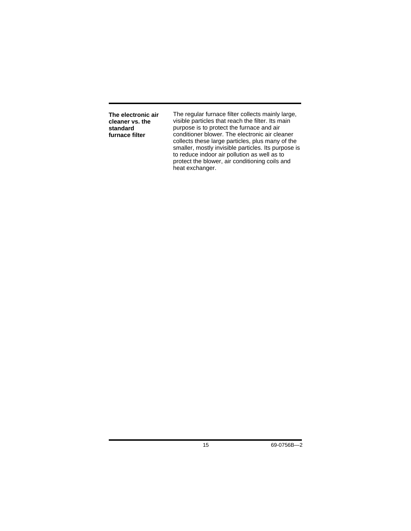**The electronic air cleaner vs. the standard furnace filter**

The regular furnace filter collects mainly large, visible particles that reach the filter. Its main purpose is to protect the furnace and air conditioner blower. The electronic air cleaner collects these large particles, plus many of the smaller, mostly invisible particles. Its purpose is to reduce indoor air pollution as well as to protect the blower, air conditioning coils and heat exchanger.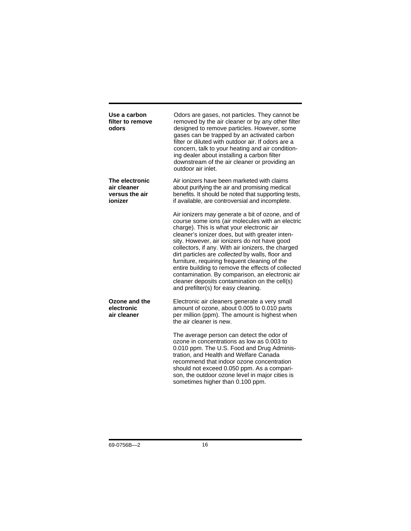| Use a carbon<br>filter to remove<br>odors                  | Odors are gases, not particles. They cannot be<br>removed by the air cleaner or by any other filter<br>designed to remove particles. However, some<br>gases can be trapped by an activated carbon<br>filter or diluted with outdoor air. If odors are a<br>concern, talk to your heating and air condition-<br>ing dealer about installing a carbon filter<br>downstream of the air cleaner or providing an<br>outdoor air inlet.                                                                                                                                                                                |
|------------------------------------------------------------|------------------------------------------------------------------------------------------------------------------------------------------------------------------------------------------------------------------------------------------------------------------------------------------------------------------------------------------------------------------------------------------------------------------------------------------------------------------------------------------------------------------------------------------------------------------------------------------------------------------|
| The electronic<br>air cleaner<br>versus the air<br>ionizer | Air ionizers have been marketed with claims<br>about purifying the air and promising medical<br>benefits. It should be noted that supporting tests,<br>if available, are controversial and incomplete.                                                                                                                                                                                                                                                                                                                                                                                                           |
|                                                            | Air ionizers may generate a bit of ozone, and of<br>course some ions (air molecules with an electric<br>charge). This is what your electronic air<br>cleaner's ionizer does, but with greater inten-<br>sity. However, air ionizers do not have good<br>collectors, if any. With air ionizers, the charged<br>dirt particles are collected by walls, floor and<br>furniture, requiring frequent cleaning of the<br>entire building to remove the effects of collected<br>contamination. By comparison, an electronic air<br>cleaner deposits contamination on the cell(s)<br>and prefilter(s) for easy cleaning. |
| Ozone and the<br>electronic<br>air cleaner                 | Electronic air cleaners generate a very small<br>amount of ozone, about 0.005 to 0.010 parts<br>per million (ppm). The amount is highest when<br>the air cleaner is new.                                                                                                                                                                                                                                                                                                                                                                                                                                         |
|                                                            | The average person can detect the odor of<br>ozone in concentrations as low as 0.003 to<br>0.010 ppm. The U.S. Food and Drug Adminis-<br>tration, and Health and Welfare Canada<br>recommend that indoor ozone concentration<br>should not exceed 0.050 ppm. As a compari-<br>son, the outdoor ozone level in major cities is<br>sometimes higher than 0.100 ppm.                                                                                                                                                                                                                                                |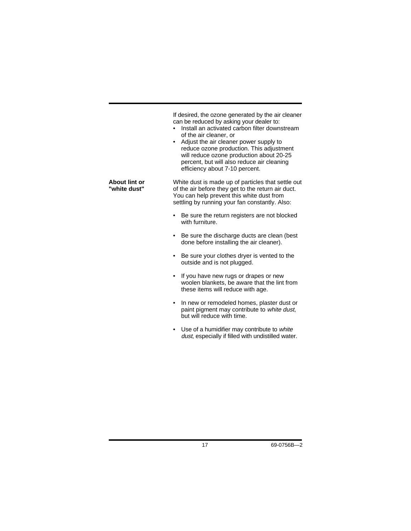| If desired, the ozone generated by the air cleaner |
|----------------------------------------------------|
| can be reduced by asking your dealer to:           |
|                                                    |

- Install an activated carbon filter downstream of the air cleaner, or
- Adjust the air cleaner power supply to reduce ozone production. This adjustment will reduce ozone production about 20-25 percent, but will also reduce air cleaning efficiency about 7-10 percent.

White dust is made up of particles that settle out of the air before they get to the return air duct. You can help prevent this white dust from settling by running your fan constantly. Also: **About lint or "white dust"**

- Be sure the return registers are not blocked with furniture.
- Be sure the discharge ducts are clean (best done before installing the air cleaner).
- Be sure your clothes dryer is vented to the outside and is not plugged.
- If you have new rugs or drapes or new woolen blankets, be aware that the lint from these items will reduce with age.
- In new or remodeled homes, plaster dust or paint pigment may contribute to white dust, but will reduce with time.
- Use of a humidifier may contribute to white dust, especially if filled with undistilled water.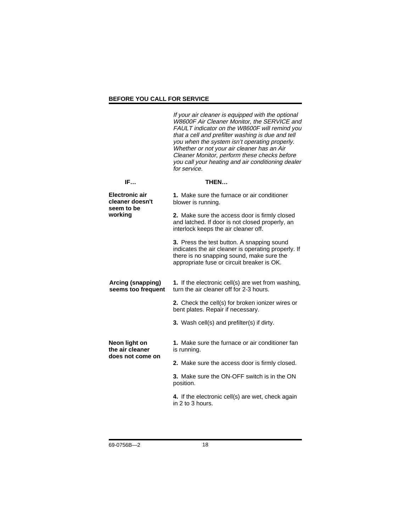### **BEFORE YOU CALL FOR SERVICE**

If your air cleaner is equipped with the optional W8600F Air Cleaner Monitor, the SERVICE and FAULT indicator on the W8600F will remind you that a cell and prefilter washing is due and tell you when the system isn't operating properly. Whether or not your air cleaner has an Air Cleaner Monitor, perform these checks before you call your heating and air conditioning dealer for service. **IF… THEN… 1.** Make sure the furnace or air conditioner blower is running. **2.** Make sure the access door is firmly closed and latched. If door is not closed properly, an interlock keeps the air cleaner off. **3.** Press the test button. A snapping sound indicates the air cleaner is operating properly. If there is no snapping sound, make sure the appropriate fuse or circuit breaker is OK. **1.** If the electronic cell(s) are wet from washing, turn the air cleaner off for 2-3 hours. **2.** Check the cell(s) for broken ionizer wires or bent plates. Repair if necessary. **3.** Wash cell(s) and prefilter(s) if dirty. **1.** Make sure the furnace or air conditioner fan is running. **2.** Make sure the access door is firmly closed. **3.** Make sure the ON-OFF switch is in the ON position. **4.** If the electronic cell(s) are wet, check again in 2 to 3 hours. **Electronic air cleaner doesn't seem to be working Arcing (snapping) seems too frequent Neon light on the air cleaner does not come on**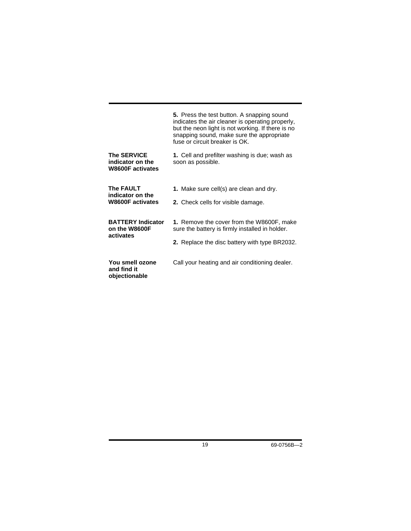|                                                                   | 5. Press the test button. A snapping sound<br>indicates the air cleaner is operating properly,<br>but the neon light is not working. If there is no<br>snapping sound, make sure the appropriate<br>fuse or circuit breaker is OK. |
|-------------------------------------------------------------------|------------------------------------------------------------------------------------------------------------------------------------------------------------------------------------------------------------------------------------|
| <b>The SERVICE</b><br>indicator on the<br><b>W8600F</b> activates | 1. Cell and prefilter washing is due; wash as<br>soon as possible.                                                                                                                                                                 |
| <b>The FAULT</b><br>indicator on the<br><b>W8600F</b> activates   | 1. Make sure cell(s) are clean and dry.<br>2. Check cells for visible damage.                                                                                                                                                      |
| <b>BATTERY Indicator</b><br>on the W8600F<br>activates            | 1. Remove the cover from the W8600F, make<br>sure the battery is firmly installed in holder.<br><b>2.</b> Replace the disc battery with type BR2032.                                                                               |
| You smell ozone<br>and find it<br>objectionable                   | Call your heating and air conditioning dealer.                                                                                                                                                                                     |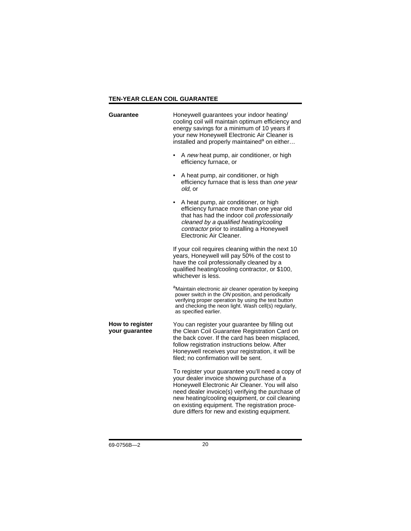### **TEN-YEAR CLEAN COIL GUARANTEE**

| Guarantee                         | Honeywell guarantees your indoor heating/<br>cooling coil will maintain optimum efficiency and<br>energy savings for a minimum of 10 years if<br>your new Honeywell Electronic Air Cleaner is<br>installed and properly maintained <sup>a</sup> on either                                                                                                 |
|-----------------------------------|-----------------------------------------------------------------------------------------------------------------------------------------------------------------------------------------------------------------------------------------------------------------------------------------------------------------------------------------------------------|
|                                   | A new heat pump, air conditioner, or high<br>efficiency furnace, or                                                                                                                                                                                                                                                                                       |
|                                   | A heat pump, air conditioner, or high<br>efficiency furnace that is less than one year<br>old, or                                                                                                                                                                                                                                                         |
|                                   | A heat pump, air conditioner, or high<br>efficiency furnace more than one year old<br>that has had the indoor coil professionally<br>cleaned by a qualified heating/cooling<br>contractor prior to installing a Honeywell<br>Electronic Air Cleaner.                                                                                                      |
|                                   | If your coil requires cleaning within the next 10<br>years, Honeywell will pay 50% of the cost to<br>have the coil professionally cleaned by a<br>qualified heating/cooling contractor, or \$100,<br>whichever is less.                                                                                                                                   |
|                                   | <sup>a</sup> Maintain electronic air cleaner operation by keeping<br>power switch in the ON position, and periodically<br>verifying proper operation by using the test button<br>and checking the neon light. Wash cell(s) regularly,<br>as specified earlier.                                                                                            |
| How to register<br>your guarantee | You can register your guarantee by filling out<br>the Clean Coil Guarantee Registration Card on<br>the back cover. If the card has been misplaced,<br>follow registration instructions below. After<br>Honeywell receives your registration, it will be<br>filed; no confirmation will be sent.                                                           |
|                                   | To register your guarantee you'll need a copy of<br>your dealer invoice showing purchase of a<br>Honeywell Electronic Air Cleaner. You will also<br>need dealer invoice(s) verifying the purchase of<br>new heating/cooling equipment, or coil cleaning<br>on existing equipment. The registration proce-<br>dure differs for new and existing equipment. |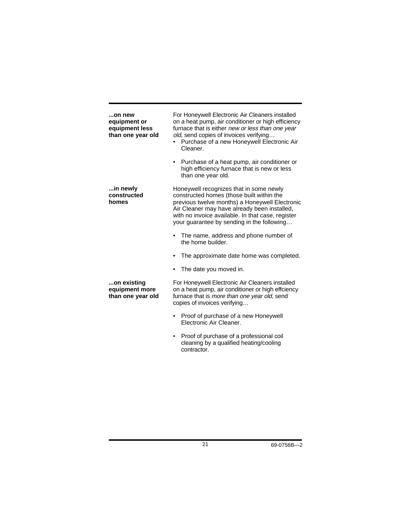| on new<br>equipment or<br>equipment less<br>than one year old | For Honeywell Electronic Air Cleaners installed<br>on a heat pump, air conditioner or high efficiency<br>furnace that is either new or less than one year<br>old, send copies of invoices verifying<br>Purchase of a new Honeywell Electronic Air<br>Cleaner.                             |
|---------------------------------------------------------------|-------------------------------------------------------------------------------------------------------------------------------------------------------------------------------------------------------------------------------------------------------------------------------------------|
|                                                               | Purchase of a heat pump, air conditioner or<br>٠<br>high efficiency furnace that is new or less<br>than one year old.                                                                                                                                                                     |
| in newly<br>constructed<br>homes                              | Honeywell recognizes that in some newly<br>constructed homes (those built within the<br>previous twelve months) a Honeywell Electronic<br>Air Cleaner may have already been installed,<br>with no invoice available. In that case, register<br>your guarantee by sending in the following |
|                                                               | The name, address and phone number of<br>$\bullet$<br>the home builder.                                                                                                                                                                                                                   |
|                                                               | The approximate date home was completed.                                                                                                                                                                                                                                                  |
|                                                               | The date you moved in.                                                                                                                                                                                                                                                                    |
| on existing<br>equipment more<br>than one year old            | For Honeywell Electronic Air Cleaners installed<br>on a heat pump, air conditioner or high effciency<br>furnace that is more than one year old, send<br>copies of invoices verifying                                                                                                      |
|                                                               | Proof of purchase of a new Honeywell<br>Electronic Air Cleaner.                                                                                                                                                                                                                           |
|                                                               | Proof of purchase of a professional coil<br>٠<br>cleaning by a qualified heating/cooling                                                                                                                                                                                                  |

contractor.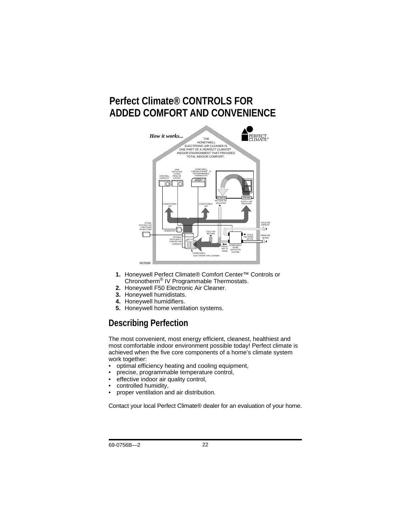# **Perfect Climate® CONTROLS FOR ADDED COMFORT AND CONVENIENCE**



- **1.** Honeywell Perfect Climate® Comfort Center™ Controls or Chronotherm® IV Programmable Thermostats.
- **2.** Honeywell F50 Electronic Air Cleaner.
- **3.** Honeywell humidistats.
- **4.** Honeywell humidifiers.
- **5.** Honeywell home ventilation systems.

### **Describing Perfection**

The most convenient, most energy efficient, cleanest, healthiest and most comfortable indoor environment possible today! Perfect climate is achieved when the five core components of a home's climate system work together:

- optimal efficiency heating and cooling equipment,
- precise, programmable temperature control,
- effective indoor air quality control,
- controlled humidity,
- proper ventilation and air distribution.

Contact your local Perfect Climate® dealer for an evaluation of your home.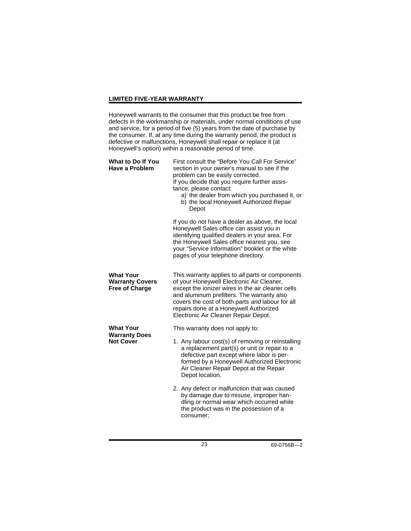### **LIMITED FIVE-YEAR WARRANTY**

Honeywell warrants to the consumer that this product be free from defects in the workmanship or materials, under normal conditions of use and service, for a period of five (5) years from the date of purchase by the consumer. If, at any time during the warranty period, the product is defective or malfunctions, Honeywell shall repair or replace it (at Honeywell's option) within a reasonable period of time.

| What to Do If You<br>Have a Problem                                 | First consult the "Before You Call For Service"<br>section in your owner's manual to see if the<br>problem can be easily corrected.<br>If you decide that you require further assis-<br>tance, please contact:<br>a) the dealer from which you purchased it, or<br>b) the local Honeywell Authorized Repair<br>Depot                   |
|---------------------------------------------------------------------|----------------------------------------------------------------------------------------------------------------------------------------------------------------------------------------------------------------------------------------------------------------------------------------------------------------------------------------|
|                                                                     | If you do not have a dealer as above, the local<br>Honeywell Sales office can assist you in<br>identifying qualified dealers in your area. For<br>the Honeywell Sales office nearest you, see<br>your "Service Information" booklet or the white<br>pages of your telephone directory.                                                 |
| <b>What Your</b><br><b>Warranty Covers</b><br><b>Free of Charge</b> | This warranty applies to all parts or components<br>of your Honeywell Electronic Air Cleaner,<br>except the ionizer wires in the air cleaner cells<br>and aluminum prefilters. The warranty also<br>covers the cost of both parts and labour for all<br>repairs done at a Honeywell Authorized<br>Electronic Air Cleaner Repair Depot. |
| <b>What Your</b>                                                    | This warranty does not apply to:                                                                                                                                                                                                                                                                                                       |
| <b>Warranty Does</b><br><b>Not Cover</b>                            | 1. Any labour cost(s) of removing or reinstalling<br>a replacement part(s) or unit or repair to a<br>defective part except where labor is per-<br>formed by a Honeywell Authorized Electronic<br>Air Cleaner Repair Depot at the Repair<br>Depot location.                                                                             |
|                                                                     | 2. Any defect or malfunction that was caused<br>by damage due to misuse, improper han-<br>dling or normal wear which occurred while<br>the product was in the possession of a<br>consumer:                                                                                                                                             |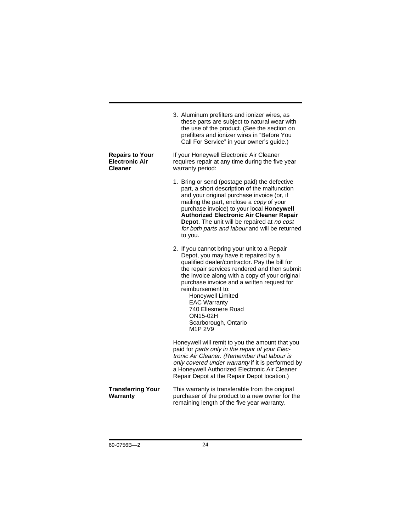|                                                                   | 3. Aluminum prefilters and ionizer wires, as<br>these parts are subject to natural wear with<br>the use of the product. (See the section on<br>prefilters and ionizer wires in "Before You<br>Call For Service" in your owner's guide.)                                                                                                                                                                                     |
|-------------------------------------------------------------------|-----------------------------------------------------------------------------------------------------------------------------------------------------------------------------------------------------------------------------------------------------------------------------------------------------------------------------------------------------------------------------------------------------------------------------|
| <b>Repairs to Your</b><br><b>Electronic Air</b><br><b>Cleaner</b> | If your Honeywell Electronic Air Cleaner<br>requires repair at any time during the five year<br>warranty period:                                                                                                                                                                                                                                                                                                            |
|                                                                   | 1. Bring or send (postage paid) the defective<br>part, a short description of the malfunction<br>and your original purchase invoice (or, if<br>mailing the part, enclose a copy of your<br>purchase invoice) to your local Honeywell<br><b>Authorized Electronic Air Cleaner Repair</b><br>Depot. The unit will be repaired at no cost<br>for both parts and labour and will be returned<br>to you.                         |
|                                                                   | 2. If you cannot bring your unit to a Repair<br>Depot, you may have it repaired by a<br>qualified dealer/contractor. Pay the bill for<br>the repair services rendered and then submit<br>the invoice along with a copy of your original<br>purchase invoice and a written request for<br>reimbursement to:<br>Honeywell Limited<br><b>EAC Warranty</b><br>740 Ellesmere Road<br>ON15-02H<br>Scarborough, Ontario<br>M1P 2V9 |
|                                                                   | Honeywell will remit to you the amount that you<br>paid for parts only in the repair of your Elec-<br>tronic Air Cleaner. (Remember that labour is<br>only covered under warranty if it is performed by<br>a Honeywell Authorized Electronic Air Cleaner<br>Repair Depot at the Repair Depot location.)                                                                                                                     |
| <b>Transferring Your</b><br>Warranty                              | This warranty is transferable from the original<br>purchaser of the product to a new owner for the<br>remaining length of the five year warranty.                                                                                                                                                                                                                                                                           |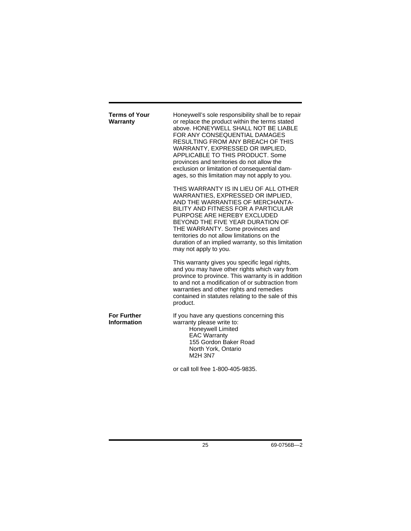| <b>Terms of Your</b><br>Warranty  | Honeywell's sole responsibility shall be to repair<br>or replace the product within the terms stated<br>above. HONEYWELL SHALL NOT BE LIABLE<br>FOR ANY CONSEQUENTIAL DAMAGES<br>RESULTING FROM ANY BREACH OF THIS<br>WARRANTY, EXPRESSED OR IMPLIED,<br>APPLICABLE TO THIS PRODUCT. Some<br>provinces and territories do not allow the<br>exclusion or limitation of consequential dam-<br>ages, so this limitation may not apply to you. |
|-----------------------------------|--------------------------------------------------------------------------------------------------------------------------------------------------------------------------------------------------------------------------------------------------------------------------------------------------------------------------------------------------------------------------------------------------------------------------------------------|
|                                   | THIS WARRANTY IS IN LIEU OF ALL OTHER<br>WARRANTIES, EXPRESSED OR IMPLIED,<br>AND THE WARRANTIES OF MERCHANTA-<br>BILITY AND FITNESS FOR A PARTICULAR<br>PURPOSE ARE HEREBY EXCLUDED<br>BEYOND THE FIVE YEAR DURATION OF<br>THE WARRANTY. Some provinces and<br>territories do not allow limitations on the<br>duration of an implied warranty, so this limitation<br>may not apply to you.                                                |
|                                   | This warranty gives you specific legal rights,<br>and you may have other rights which vary from<br>province to province. This warranty is in addition<br>to and not a modification of or subtraction from<br>warranties and other rights and remedies<br>contained in statutes relating to the sale of this<br>product.                                                                                                                    |
| <b>For Further</b><br>Information | If you have any questions concerning this<br>warranty please write to:<br>Honeywell Limited<br><b>EAC Warranty</b><br>155 Gordon Baker Road<br>North York, Ontario<br><b>M2H 3N7</b>                                                                                                                                                                                                                                                       |
|                                   | or call toll free 1-800-405-9835.                                                                                                                                                                                                                                                                                                                                                                                                          |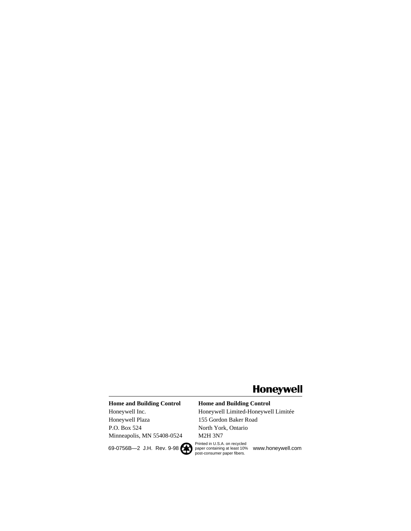# **Honeywell**

### **Home and Building Control** Honeywell Inc.

Honeywell Plaza P.O. Box 524 Minneapolis, MN 55408-0524

### **Home and Building Control**

69-0756B—2 J.H. Rev. 9-98 <br>
paper containing at least 10% www.honeywell.com<br>
post-consumer paper fibers. Honeywell Limited-Honeywell Limitée 155 Gordon Baker Road North York, Ontario M2H 3N7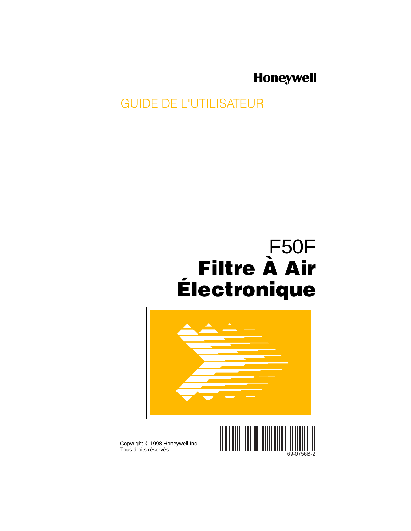# **Honeywell**

# GUIDE DE L'UTILISATEUR

# F50F **Filtre À Air Électronique**



Tous droits réservés



69-0756B-2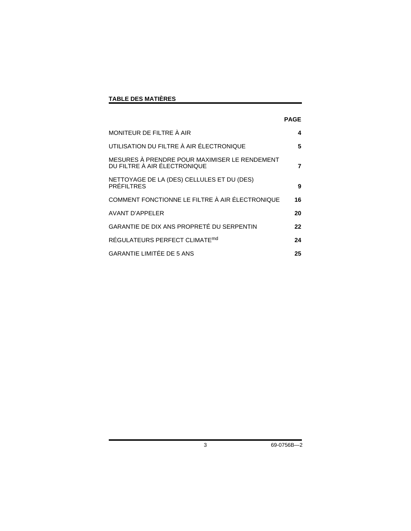### **TABLE DES MATIÈRES**

|                                                                               | PAGE |
|-------------------------------------------------------------------------------|------|
| MONITEUR DE FILTRE À AIR                                                      | 4    |
| UTILISATION DU FILTRE À AIR ÉLECTRONIQUE                                      | 5    |
| MESURES À PRENDRE POUR MAXIMISER LE RENDEMENT<br>DU FILTRE À AIR ÉLECTRONIQUE | 7    |
| NETTOYAGE DE LA (DES) CELLULES ET DU (DES)<br><b>PRÉFILTRES</b>               | 9    |
| COMMENT FONCTIONNE LE FILTRE À AIR ÉLECTRONIQUE                               | 16   |
| <b>AVANT D'APPELER</b>                                                        | 20   |
| GARANTIE DE DIX ANS PROPRETÉ DU SERPENTIN                                     | 22   |
| RÉGULATEURS PERFECT CLIMATE <sup>md</sup>                                     | 24   |
| <b>GARANTIE LIMITÉE DE 5 ANS</b>                                              | 25   |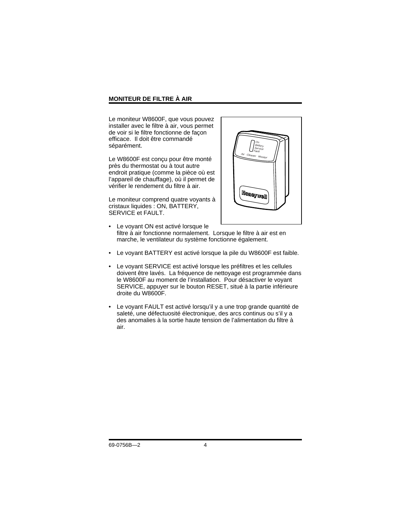### **MONITEUR DE FILTRE À AIR**

Le moniteur W8600F, que vous pouvez installer avec le filtre à air, vous permet de voir si le filtre fonctionne de façon efficace. Il doit être commandé séparément.

Le W8600F est conçu pour être monté près du thermostat ou à tout autre endroit pratique (comme la pièce où est l'appareil de chauffage), où il permet de vérifier le rendement du filtre à air.

Le moniteur comprend quatre voyants à cristaux liquides : ON, BATTERY, SERVICE et FAULT.



- Le voyant ON est activé lorsque le filtre à air fonctionne normalement. Lorsque le filtre à air est en marche, le ventilateur du système fonctionne également.
- Le voyant BATTERY est activé lorsque la pile du W8600F est faible.
- Le voyant SERVICE est activé lorsque les préfiltres et les cellules doivent être lavés. La fréquence de nettoyage est programmée dans le W8600F au moment de l'installation. Pour désactiver le voyant SERVICE, appuyer sur le bouton RESET, situé à la partie inférieure droite du W8600F.
- Le voyant FAULT est activé lorsqu'il y a une trop grande quantité de saleté, une défectuosité électronique, des arcs continus ou s'il y a des anomalies à la sortie haute tension de l'alimentation du filtre à air.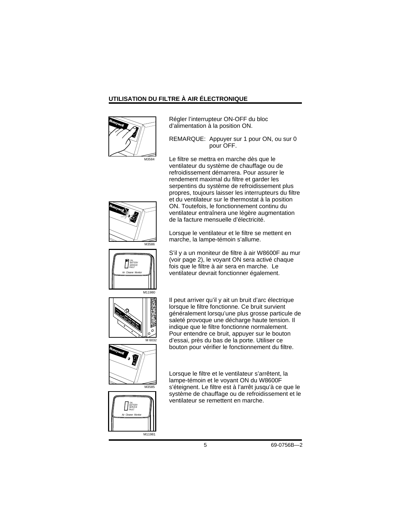### **UTILISATION DU FILTRE À AIR ÉLECTRONIQUE**



Régler l'interrupteur ON-OFF du bloc d'alimentation à la position ON.

REMARQUE: Appuyer sur 1 pour ON, ou sur 0 pour OFF.

Le filtre se mettra en marche dès que le ventilateur du système de chauffage ou de refroidissement démarrera. Pour assurer le rendement maximal du filtre et garder les serpentins du système de refroidissement plus propres, toujours laisser les interrupteurs du filtre et du ventilateur sur le thermostat à la position ON. Toutefois, le fonctionnement continu du ventilateur entraînera une légère augmentation de la facture mensuelle d'électricité.

Lorsque le ventilateur et le filtre se mettent en marche, la lampe-témoin s'allume.

S'il y a un moniteur de filtre à air W8600F au mur (voir page 2), le voyant ON sera activé chaque fois que le filtre à air sera en marche. Le ventilateur devrait fonctionner également.

Il peut arriver qu'il y ait un bruit d'arc électrique lorsque le filtre fonctionne. Ce bruit survient généralement lorsqu'une plus grosse particule de saleté provoque une décharge haute tension. Il



ON BATTERY SERVICE FAULT Air Cleaner M

M3586

M<sub>11980</sub>

indique que le filtre fonctionne normalement. Pour entendre ce bruit, appuyer sur le bouton d'essai, près du bas de la porte. Utiliser ce bouton pour vérifier le fonctionnement du filtre.

 $\overline{\smash{\big)}\xspace_{\text{M3585}}}$ 



Lorsque le filtre et le ventilateur s'arrêtent, la lampe-témoin et le voyant ON du W8600F s'éteignent. Le filtre est à l'arrêt jusqu'à ce que le système de chauffage ou de refroidissement et le ventilateur se remettent en marche.

5 69-0756B—2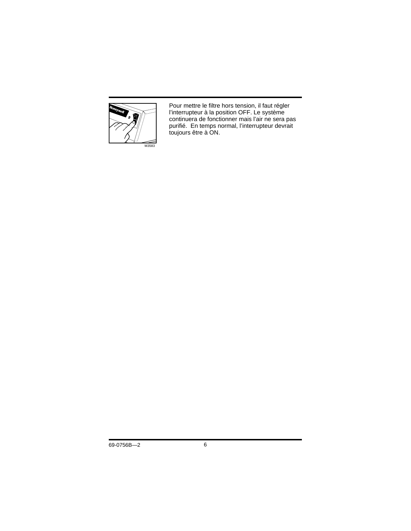

Pour mettre le filtre hors tension, il faut régler l'interrupteur à la position OFF. Le système continuera de fonctionner mais l'air ne sera pas purifié. En temps normal, l'interrupteur devrait toujours être à ON.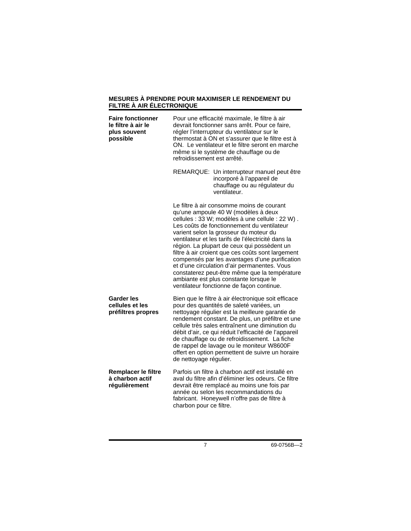#### **MESURES À PRENDRE POUR MAXIMISER LE RENDEMENT DU FILTRE À AIR ÉLECTRONIQUE**

| <b>Faire fonctionner</b><br>le filtre à air le<br>plus souvent<br>possible | Pour une efficacité maximale, le filtre à air<br>devrait fonctionner sans arrêt. Pour ce faire,<br>régler l'interrupteur du ventilateur sur le<br>thermostat à ON et s'assurer que le filtre est à<br>ON. Le ventilateur et le filtre seront en marche<br>même si le système de chauffage ou de<br>refroidissement est arrêté.                                                                                                                                                                                                                                                                                                  |  |  |
|----------------------------------------------------------------------------|---------------------------------------------------------------------------------------------------------------------------------------------------------------------------------------------------------------------------------------------------------------------------------------------------------------------------------------------------------------------------------------------------------------------------------------------------------------------------------------------------------------------------------------------------------------------------------------------------------------------------------|--|--|
|                                                                            | REMARQUE: Un interrupteur manuel peut être<br>incorporé à l'appareil de<br>chauffage ou au régulateur du<br>ventilateur.                                                                                                                                                                                                                                                                                                                                                                                                                                                                                                        |  |  |
|                                                                            | Le filtre à air consomme moins de courant<br>qu'une ampoule 40 W (modèles à deux<br>cellules : 33 W; modèles à une cellule : 22 W).<br>Les coûts de fonctionnement du ventilateur<br>varient selon la grosseur du moteur du<br>ventilateur et les tarifs de l'électricité dans la<br>région. La plupart de ceux qui possèdent un<br>filtre à air croient que ces coûts sont largement<br>compensés par les avantages d'une purification<br>et d'une circulation d'air permanentes. Vous<br>constaterez peut-être même que la température<br>ambiante est plus constante lorsque le<br>ventilateur fonctionne de façon continue. |  |  |
| <b>Garder les</b><br>cellules et les<br>préfiltres propres                 | Bien que le filtre à air électronique soit efficace<br>pour des quantités de saleté variées, un<br>nettoyage régulier est la meilleure garantie de<br>rendement constant. De plus, un préfiltre et une<br>cellule très sales entraînent une diminution du<br>débit d'air, ce qui réduit l'efficacité de l'appareil<br>de chauffage ou de refroidissement. La fiche<br>de rappel de lavage ou le moniteur W8600F<br>offert en option permettent de suivre un horaire<br>de nettoyage régulier.                                                                                                                                   |  |  |
| Remplacer le filtre<br>à charbon actif<br>régulièrement                    | Parfois un filtre à charbon actif est installé en<br>aval du filtre afin d'éliminer les odeurs. Ce filtre<br>devrait être remplacé au moins une fois par<br>année ou selon les recommandations du<br>fabricant. Honeywell n'offre pas de filtre à<br>charbon pour ce filtre.                                                                                                                                                                                                                                                                                                                                                    |  |  |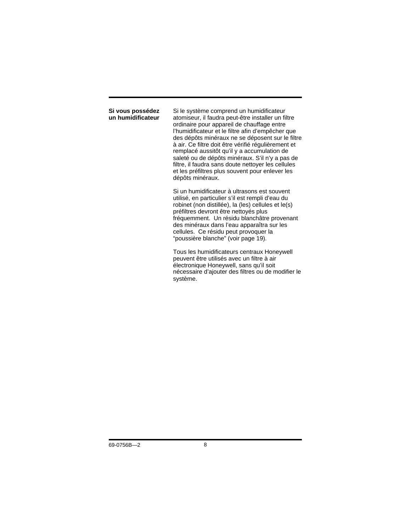#### **Si vous possédez un humidificateur**

Si le système comprend un humidificateur atomiseur, il faudra peut-être installer un filtre ordinaire pour appareil de chauffage entre l'humidificateur et le filtre afin d'empêcher que des dépôts minéraux ne se déposent sur le filtre à air. Ce filtre doit être vérifié régulièrement et remplacé aussitôt qu'il y a accumulation de saleté ou de dépôts minéraux. S'il n'y a pas de filtre, il faudra sans doute nettoyer les cellules et les préfiltres plus souvent pour enlever les dépôts minéraux.

Si un humidificateur à ultrasons est souvent utilisé, en particulier s'il est rempli d'eau du robinet (non distillée), la (les) cellules et le(s) préfiltres devront être nettoyés plus fréquemment. Un résidu blanchâtre provenant des minéraux dans l'eau apparaîtra sur les cellules. Ce résidu peut provoquer la "poussière blanche" (voir page 19).

Tous les humidificateurs centraux Honeywell peuvent être utilisés avec un filtre à air électronique Honeywell, sans qu'il soit nécessaire d'ajouter des filtres ou de modifier le système.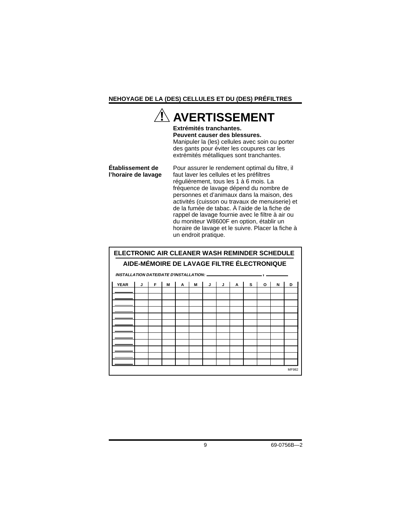### **NEHOYAGE DE LA (DES) CELLULES ET DU (DES) PRÉFILTRES**

### **AVERTISSEMENT Extrémités tranchantes. Peuvent causer des blessures.** Manipuler la (les) cellules avec soin ou porter des gants pour éviter les coupures car les extrémités métalliques sont tranchantes. **Établissement de l'horaire de lavage** Pour assurer le rendement optimal du filtre, il faut laver les cellules et les préfiltres régulièrement, tous les 1 à 6 mois. La fréquence de lavage dépend du nombre de personnes et d'animaux dans la maison, des activités (cuisson ou travaux de menuiserie) et de la fumée de tabac. À l'aide de la fiche de rappel de lavage fournie avec le filtre à air ou du moniteur W8600F en option, établir un horaire de lavage et le suivre. Placer la fiche à un endroit pratique. **ELECTRONIC AIR CLEANER WASH REMINDER SCHEDULE**

| AIDE-MÉMOIRE DE LAVAGE FILTRE ÉLECTRONIQUE |   |   |   |   |   |   |   |   |   |   |   |       |
|--------------------------------------------|---|---|---|---|---|---|---|---|---|---|---|-------|
|                                            |   |   |   |   |   |   |   |   |   |   |   |       |
| <b>YEAR</b>                                | J | F | M | A | M | J | J | A | s | O | N | D     |
|                                            |   |   |   |   |   |   |   |   |   |   |   |       |
|                                            |   |   |   |   |   |   |   |   |   |   |   |       |
|                                            |   |   |   |   |   |   |   |   |   |   |   |       |
|                                            |   |   |   |   |   |   |   |   |   |   |   |       |
|                                            |   |   |   |   |   |   |   |   |   |   |   |       |
|                                            |   |   |   |   |   |   |   |   |   |   |   |       |
|                                            |   |   |   |   |   |   |   |   |   |   |   |       |
|                                            |   |   |   |   |   |   |   |   |   |   |   |       |
|                                            |   |   |   |   |   |   |   |   |   |   |   |       |
|                                            |   |   |   |   |   |   |   |   |   |   |   |       |
|                                            |   |   |   |   |   |   |   |   |   |   |   |       |
|                                            |   |   |   |   |   |   |   |   |   |   |   |       |
|                                            |   |   |   |   |   |   |   |   |   |   |   |       |
|                                            |   |   |   |   |   |   |   |   |   |   |   | MF982 |

9 69-0756B—2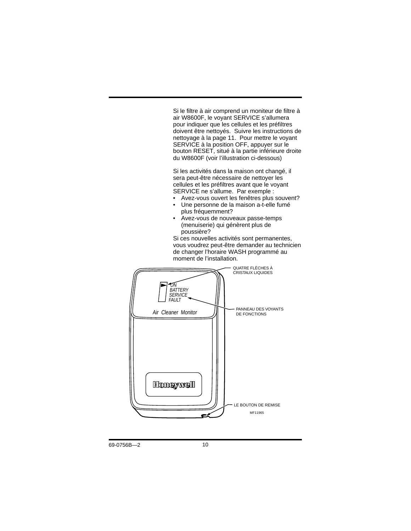Si le filtre à air comprend un moniteur de filtre à air W8600F, le voyant SERVICE s'allumera pour indiquer que les cellules et les préfiltres doivent être nettoyés. Suivre les instructions de nettoyage à la page 11. Pour mettre le voyant SERVICE à la position OFF, appuyer sur le bouton RESET, situé à la partie inférieure droite du W8600F (voir l'illustration ci-dessous)

Si les activités dans la maison ont changé, il sera peut-être nécessaire de nettoyer les cellules et les préfiltres avant que le voyant SERVICE ne s'allume. Par exemple :

- Avez-vous ouvert les fenêtres plus souvent?
- Une personne de la maison a-t-elle fumé plus fréquemment?
- Avez-vous de nouveaux passe-temps (menuiserie) qui génèrent plus de poussière?

Si ces nouvelles activités sont permanentes, vous voudrez peut-être demander au technicien de changer l'horaire WASH programmé au moment de l'installation.

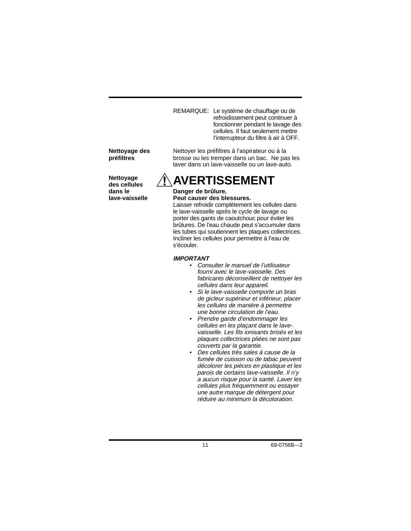REMARQUE: Le système de chauffage ou de refroidissement peut continuer à fonctionner pendant le lavage des cellules. Il faut seulement mettre l'interrupteur du filtre à air à OFF.

Nettoyer les préfiltres à l'aspirateur ou à la brosse ou les tremper dans un bac. Ne pas les laver dans un lave-vaisselle ou un lave-auto.

#### **Nettoyage des préfiltres**

**Nettoyage des cellules dans le lave-vaisselle**

# **AVERTISSEMENT**

#### **Danger de brûlure. Peut causer des blessures.**

Laisser refroidir complètement les cellules dans le lave-vaisselle après le cycle de lavage ou porter des gants de caoutchouc pour éviter les brûlures. De l'eau chaude peut s'accumuler dans les tubes qui soutiennent les plaques collectrices. Incliner les cellules pour permettre à l'eau de s'écouler.

### **IMPORTANT**

- Consulter le manuel de l'utilisateur fourni avec le lave-vaisselle. Des fabricants déconseillent de nettoyer les cellules dans leur appareil.
- Si le lave-vaisselle comporte un bras de gicleur supérieur et inférieur, placer les cellules de manière à permettre une bonne circulation de l'eau.
- Prendre garde d'endommager les cellules en les plaçant dans le lavevaisselle. Les fils ionisants brisés et les plaques collectrices pliées ne sont pas couverts par la garantie.
- Des cellules très sales à cause de la fumée de cuisson ou de tabac peuvent décolorer les pièces en plastique et les parois de certains lave-vaisselle. Il n'y a aucun risque pour la santé. Laver les cellules plus fréquemment ou essayer une autre marque de détergent pour réduire au minimum la décoloration.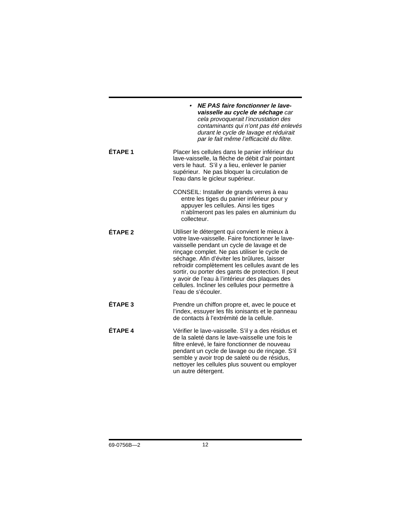|                    | NE PAS faire fonctionner le lave-<br>vaisselle au cycle de séchage car<br>cela provoquerait l'incrustation des<br>contaminants qui n'ont pas été enlevés<br>durant le cycle de lavage et réduirait<br>par le fait même l'efficacité du filtre.                                                                                                                                                                                                                                         |
|--------------------|----------------------------------------------------------------------------------------------------------------------------------------------------------------------------------------------------------------------------------------------------------------------------------------------------------------------------------------------------------------------------------------------------------------------------------------------------------------------------------------|
| ÉTAPE 1            | Placer les cellules dans le panier inférieur du<br>lave-vaisselle, la flèche de débit d'air pointant<br>vers le haut. S'il y a lieu, enlever le panier<br>supérieur. Ne pas bloquer la circulation de<br>l'eau dans le gicleur supérieur.                                                                                                                                                                                                                                              |
|                    | CONSEIL: Installer de grands verres à eau<br>entre les tiges du panier inférieur pour y<br>appuyer les cellules. Ainsi les tiges<br>n'abîmeront pas les pales en aluminium du<br>collecteur.                                                                                                                                                                                                                                                                                           |
| FTAPF <sub>2</sub> | Utiliser le détergent qui convient le mieux à<br>votre lave-vaisselle. Faire fonctionner le lave-<br>vaisselle pendant un cycle de lavage et de<br>rinçage complet. Ne pas utiliser le cycle de<br>séchage. Afin d'éviter les brûlures, laisser<br>refroidir complètement les cellules avant de les<br>sortir, ou porter des gants de protection. Il peut<br>y avoir de l'eau à l'intérieur des plaques des<br>cellules. Incliner les cellules pour permettre à<br>l'eau de s'écouler. |
| ÉTAPE <sub>3</sub> | Prendre un chiffon propre et, avec le pouce et<br>l'index, essuyer les fils ionisants et le panneau<br>de contacts à l'extrémité de la cellule.                                                                                                                                                                                                                                                                                                                                        |
| ÉTAPE 4            | Vérifier le lave-vaisselle. S'il y a des résidus et<br>de la saleté dans le lave-vaisselle une fois le<br>filtre enlevé, le faire fonctionner de nouveau<br>pendant un cycle de lavage ou de rinçage. S'il<br>semble y avoir trop de saleté ou de résidus,<br>nettoyer les cellules plus souvent ou employer<br>un autre détergent.                                                                                                                                                    |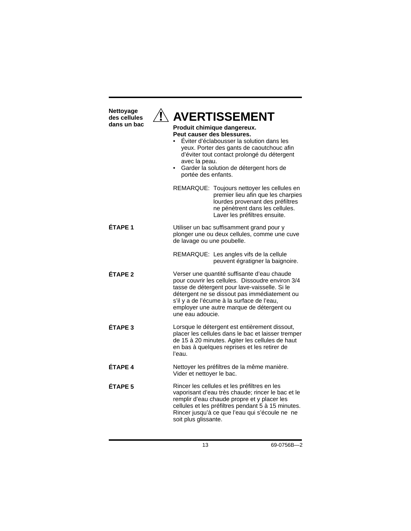| Nettoyage<br>des cellules<br>dans un bac | <b>AVERTISSEMENT</b><br>Produit chimique dangereux.<br>Peut causer des blessures.<br>Éviter d'éclabousser la solution dans les<br>yeux. Porter des gants de caoutchouc afin<br>d'éviter tout contact prolongé du détergent<br>avec la peau.<br>Garder la solution de détergent hors de<br>portée des enfants. |                                                                                                                                                                                                                                                                                             |  |
|------------------------------------------|---------------------------------------------------------------------------------------------------------------------------------------------------------------------------------------------------------------------------------------------------------------------------------------------------------------|---------------------------------------------------------------------------------------------------------------------------------------------------------------------------------------------------------------------------------------------------------------------------------------------|--|
|                                          |                                                                                                                                                                                                                                                                                                               | REMARQUE: Toujours nettoyer les cellules en<br>premier lieu afin que les charpies<br>lourdes provenant des préfiltres<br>ne pénètrent dans les cellules.<br>Laver les préfiltres ensuite.                                                                                                   |  |
| <b>ETAPE 1</b>                           | de lavage ou une poubelle.                                                                                                                                                                                                                                                                                    | Utiliser un bac suffisamment grand pour y<br>plonger une ou deux cellules, comme une cuve                                                                                                                                                                                                   |  |
|                                          |                                                                                                                                                                                                                                                                                                               | REMARQUE: Les angles vifs de la cellule<br>peuvent égratigner la baignoire.                                                                                                                                                                                                                 |  |
| FTAPF <sub>2</sub>                       | une eau adoucie.                                                                                                                                                                                                                                                                                              | Verser une quantité suffisante d'eau chaude<br>pour couvrir les cellules. Dissoudre environ 3/4<br>tasse de détergent pour lave-vaisselle. Si le<br>détergent ne se dissout pas immédiatement ou<br>s'il y a de l'écume à la surface de l'eau,<br>employer une autre marque de détergent ou |  |
| <b>ÉTAPE 3</b>                           | l'eau.                                                                                                                                                                                                                                                                                                        | Lorsque le détergent est entièrement dissout,<br>placer les cellules dans le bac et laisser tremper<br>de 15 à 20 minutes. Agiter les cellules de haut<br>en bas à quelques reprises et les retirer de                                                                                      |  |
| ÉTAPE 4                                  | Vider et nettoyer le bac.                                                                                                                                                                                                                                                                                     | Nettoyer les préfiltres de la même manière.                                                                                                                                                                                                                                                 |  |
| ÉTAPE <sub>5</sub>                       | soit plus glissante.                                                                                                                                                                                                                                                                                          | Rincer les cellules et les préfiltres en les<br>vaporisant d'eau très chaude; rincer le bac et le<br>remplir d'eau chaude propre et y placer les<br>cellules et les préfiltres pendant 5 à 15 minutes.<br>Rincer jusqu'à ce que l'eau qui s'écoule ne ne                                    |  |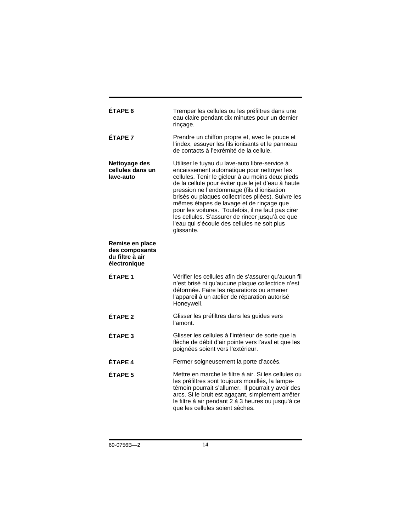| <b>ETAPE 6</b>                                                       | Tremper les cellules ou les préfiltres dans une<br>eau claire pendant dix minutes pour un dernier<br>rinçage.                                                                                                                                                                                                                                                                                                                                                                                                                  |
|----------------------------------------------------------------------|--------------------------------------------------------------------------------------------------------------------------------------------------------------------------------------------------------------------------------------------------------------------------------------------------------------------------------------------------------------------------------------------------------------------------------------------------------------------------------------------------------------------------------|
| ÉTAPF <sub>7</sub>                                                   | Prendre un chiffon propre et, avec le pouce et<br>l'index, essuyer les fils ionisants et le panneau<br>de contacts à l'exrémité de la cellule.                                                                                                                                                                                                                                                                                                                                                                                 |
| Nettoyage des<br>cellules dans un<br>lave-auto                       | Utiliser le tuyau du lave-auto libre-service à<br>encaissement automatique pour nettoyer les<br>cellules. Tenir le gicleur à au moins deux pieds<br>de la cellule pour éviter que le jet d'eau à haute<br>pression ne l'endommage (fils d'ionisation<br>brisés ou plaques collectrices pliées). Suivre les<br>mêmes étapes de lavage et de rinçage que<br>pour les voitures. Toutefois, il ne faut pas cirer<br>les cellules. S'assurer de rincer jusqu'à ce que<br>l'eau qui s'écoule des cellules ne soit plus<br>glissante. |
| Remise en place<br>des composants<br>du filtre à air<br>électronique |                                                                                                                                                                                                                                                                                                                                                                                                                                                                                                                                |
| ÉTAPE 1                                                              | Vérifier les cellules afin de s'assurer qu'aucun fil<br>n'est brisé ni qu'aucune plaque collectrice n'est<br>déformée. Faire les réparations ou amener<br>l'appareil à un atelier de réparation autorisé<br>Honeywell.                                                                                                                                                                                                                                                                                                         |
| ÉTAPE <sub>2</sub>                                                   | Glisser les préfiltres dans les guides vers<br>l'amont.                                                                                                                                                                                                                                                                                                                                                                                                                                                                        |
| ÉTAPE <sub>3</sub>                                                   | Glisser les cellules à l'intérieur de sorte que la<br>flèche de débit d'air pointe vers l'aval et que les<br>poignées soient vers l'extérieur.                                                                                                                                                                                                                                                                                                                                                                                 |
| ÉTAPF <sub>4</sub>                                                   | Fermer soigneusement la porte d'accès.                                                                                                                                                                                                                                                                                                                                                                                                                                                                                         |
| ÉTAPE <sub>5</sub>                                                   | Mettre en marche le filtre à air. Si les cellules ou<br>les préfiltres sont toujours mouillés, la lampe-<br>témoin pourrait s'allumer. Il pourrait y avoir des<br>arcs. Si le bruit est agaçant, simplement arrêter<br>le filtre à air pendant 2 à 3 heures ou jusqu'à ce<br>que les cellules soient sèches.                                                                                                                                                                                                                   |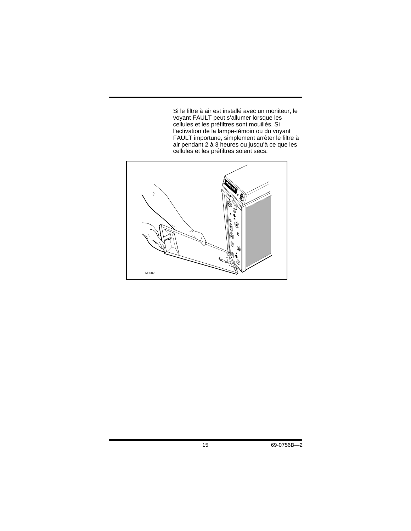Si le filtre à air est installé avec un moniteur, le voyant FAULT peut s'allumer lorsque les cellules et les préfiltres sont mouillés. Si l'activation de la lampe-témoin ou du voyant FAULT importune, simplement arrêter le filtre à air pendant 2 à 3 heures ou jusqu'à ce que les cellules et les préfiltres soient secs.

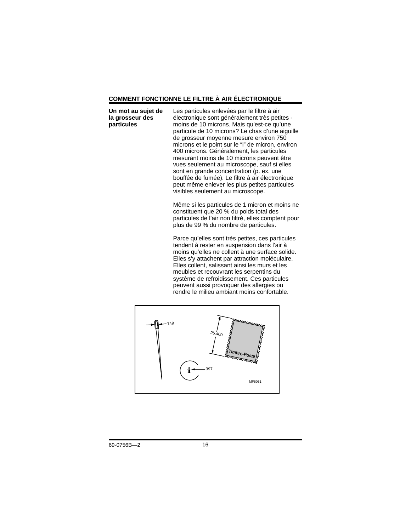### **COMMENT FONCTIONNE LE FILTRE À AIR ÉLECTRONIQUE**

**Un mot au sujet de la grosseur des particules**

Les particules enlevées par le filtre à air électronique sont généralement très petites moins de 10 microns. Mais qu'est-ce qu'une particule de 10 microns? Le chas d'une aiguille de grosseur moyenne mesure environ 750 microns et le point sur le "i" de micron, environ 400 microns. Généralement, les particules mesurant moins de 10 microns peuvent être vues seulement au microscope, sauf si elles sont en grande concentration (p. ex. une bouffée de fumée). Le filtre à air électronique peut même enlever les plus petites particules visibles seulement au microscope.

Même si les particules de 1 micron et moins ne constituent que 20 % du poids total des particules de l'air non filtré, elles comptent pour plus de 99 % du nombre de particules.

Parce qu'elles sont très petites, ces particules tendent à rester en suspension dans l'air à moins qu'elles ne collent à une surface solide. Elles s'y attachent par attraction moléculaire. Elles collent, salissant ainsi les murs et les meubles et recouvrant les serpentins du système de refroidissement. Ces particules peuvent aussi provoquer des allergies ou rendre le milieu ambiant moins confortable.

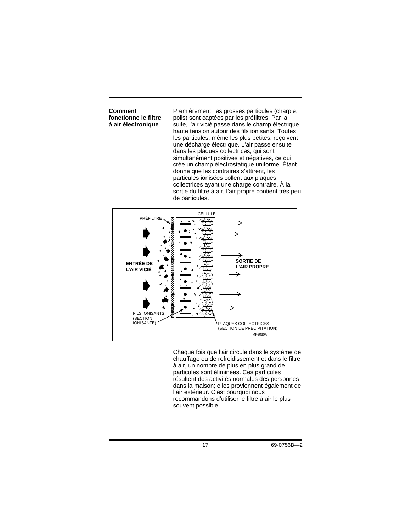**Comment fonctionne le filtre à air électronique**

Premièrement, les grosses particules (charpie, poils) sont captées par les préfiltres. Par la suite, l'air vicié passe dans le champ électrique haute tension autour des fils ionisants. Toutes les particules, même les plus petites, reçoivent une décharge électrique. L'air passe ensuite dans les plaques collectrices, qui sont simultanément positives et négatives, ce qui crée un champ électrostatique uniforme. Étant donné que les contraires s'attirent, les particules ionisées collent aux plaques collectrices ayant une charge contraire. À la sortie du filtre à air, l'air propre contient très peu de particules.



Chaque fois que l'air circule dans le système de chauffage ou de refroidissement et dans le filtre à air, un nombre de plus en plus grand de particules sont éliminées. Ces particules résultent des activités normales des personnes dans la maison; elles proviennent également de l'air extérieur. C'est pourquoi nous recommandons d'utiliser le filtre à air le plus souvent possible.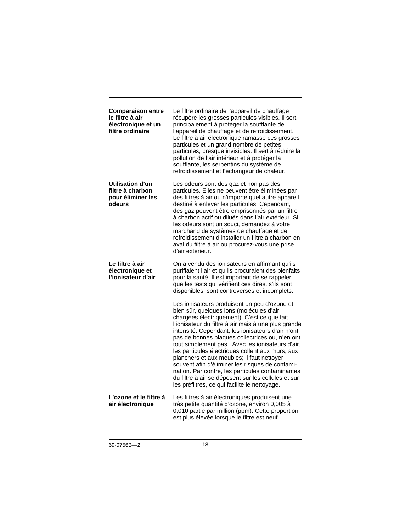| <b>Comparaison entre</b><br>le filtre à air<br>électronique et un<br>filtre ordinaire | Le filtre ordinaire de l'appareil de chauffage<br>récupère les grosses particules visibles. Il sert<br>principalement à protéger la soufflante de<br>l'appareil de chauffage et de refroidissement.<br>Le filtre à air électronique ramasse ces grosses<br>particules et un grand nombre de petites<br>particules, presque invisibles. Il sert à réduire la<br>pollution de l'air intérieur et à protéger la<br>soufflante, les serpentins du système de<br>refroidissement et l'échangeur de chaleur.                                                                                                                                                                       |
|---------------------------------------------------------------------------------------|------------------------------------------------------------------------------------------------------------------------------------------------------------------------------------------------------------------------------------------------------------------------------------------------------------------------------------------------------------------------------------------------------------------------------------------------------------------------------------------------------------------------------------------------------------------------------------------------------------------------------------------------------------------------------|
| Utilisation d'un<br>filtre à charbon<br>pour éliminer les<br>odeurs                   | Les odeurs sont des gaz et non pas des<br>particules. Elles ne peuvent être éliminées par<br>des filtres à air ou n'importe quel autre appareil<br>destiné à enlever les particules. Cependant,<br>des gaz peuvent être emprisonnés par un filtre<br>à charbon actif ou dilués dans l'air extérieur. Si<br>les odeurs sont un souci, demandez à votre<br>marchand de systèmes de chauffage et de<br>refroidissement d'installer un filtre à charbon en<br>aval du filtre à air ou procurez-vous une prise<br>d'air extérieur.                                                                                                                                                |
| Le filtre à air<br>électronique et<br>l'ionisateur d'air                              | On a vendu des ionisateurs en affirmant qu'ils<br>purifiaient l'air et qu'ils procuraient des bienfaits<br>pour la santé. Il est important de se rappeler<br>que les tests qui vérifient ces dires, s'ils sont<br>disponibles, sont controversés et incomplets.                                                                                                                                                                                                                                                                                                                                                                                                              |
|                                                                                       | Les ionisateurs produisent un peu d'ozone et,<br>bien sûr, quelques ions (molécules d'air<br>chargées électriquement). C'est ce que fait<br>l'ionisateur du filtre à air mais à une plus grande<br>intensité. Cependant, les ionisateurs d'air n'ont<br>pas de bonnes plaques collectrices ou, n'en ont<br>tout simplement pas. Avec les ionisateurs d'air,<br>les particules électriques collent aux murs, aux<br>planchers et aux meubles; il faut nettoyer<br>souvent afin d'éliminer les risques de contami-<br>nation. Par contre, les particules contaminantes<br>du filtre à air se déposent sur les cellules et sur<br>les préfiltres, ce qui facilite le nettoyage. |
| L'ozone et le filtre à<br>air électronique                                            | Les filtres à air électroniques produisent une<br>très petite quantité d'ozone, environ 0,005 à<br>0,010 partie par million (ppm). Cette proportion<br>est plus élevée lorsque le filtre est neuf.                                                                                                                                                                                                                                                                                                                                                                                                                                                                           |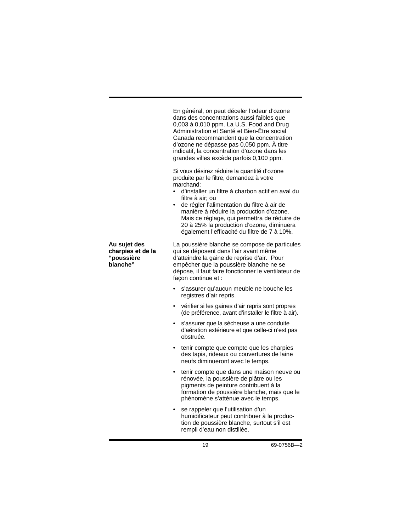En général, on peut déceler l'odeur d'ozone dans des concentrations aussi faibles que 0,003 à 0,010 ppm. La U.S. Food and Drug Administration et Santé et Bien-Être social Canada recommandent que la concentration d'ozone ne dépasse pas 0,050 ppm. À titre indicatif, la concentration d'ozone dans les grandes villes excède parfois 0,100 ppm.

Si vous désirez réduire la quantité d'ozone produite par le filtre, demandez à votre marchand:

- d'installer un filtre à charbon actif en aval du filtre à air; ou
- de régler l'alimentation du filtre à air de manière à réduire la production d'ozone. Mais ce réglage, qui permettra de réduire de 20 à 25% la production d'ozone, diminuera également l'efficacité du filtre de 7 à 10%.

La poussière blanche se compose de particules qui se déposent dans l'air avant même d'atteindre la gaine de reprise d'air. Pour empêcher que la poussière blanche ne se dépose, il faut faire fonctionner le ventilateur de façon continue et :

- s'assurer qu'aucun meuble ne bouche les registres d'air repris.
- vérifier si les gaines d'air repris sont propres (de préférence, avant d'installer le filtre à air).
- s'assurer que la sécheuse a une conduite d'aération extérieure et que celle-ci n'est pas obstruée.
- tenir compte que compte que les charpies des tapis, rideaux ou couvertures de laine neufs diminueront avec le temps.
- tenir compte que dans une maison neuve ou rénovée, la poussière de plâtre ou les pigments de peinture contribuent à la formation de poussière blanche, mais que le phénomène s'atténue avec le temps.
- se rappeler que l'utilisation d'un humidificateur peut contribuer à la production de poussière blanche, surtout s'il est rempli d'eau non distillée.

**Au sujet des charpies et de la "poussière blanche"**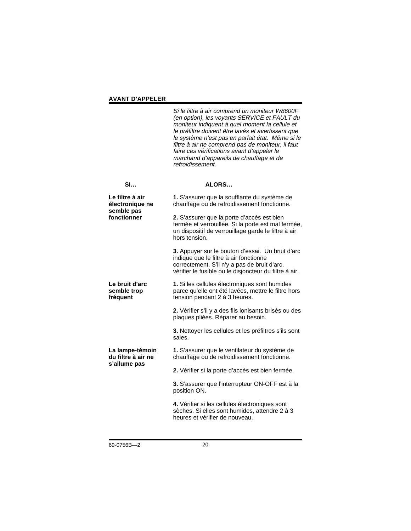### **AVANT D'APPELER**

Si le filtre à air comprend un moniteur W8600F (en option), les voyants SERVICE et FAULT du moniteur indiquent à quel moment la cellule et le préfiltre doivent être lavés et avertissent que le système n'est pas en parfait état. Même si le filtre à air ne comprend pas de moniteur, il faut faire ces vérifications avant d'appeler le marchand d'appareils de chauffage et de refroidissement.

| SI                                                              | ALORS                                                                                                                                                                                                |
|-----------------------------------------------------------------|------------------------------------------------------------------------------------------------------------------------------------------------------------------------------------------------------|
| Le filtre à air<br>électronique ne<br>semble pas<br>fonctionner | 1. S'assurer que la soufflante du système de<br>chauffage ou de refroidissement fonctionne.                                                                                                          |
|                                                                 | 2. S'assurer que la porte d'accès est bien<br>fermée et verrouillée. Si la porte est mal fermée,<br>un dispositif de verrouillage garde le filtre à air<br>hors tension.                             |
|                                                                 | 3. Appuyer sur le bouton d'essai. Un bruit d'arc<br>indique que le filtre à air fonctionne<br>correctement. S'il n'y a pas de bruit d'arc,<br>vérifier le fusible ou le disjoncteur du filtre à air. |
| Le bruit d'arc<br>semble trop<br>fréquent                       | 1. Si les cellules électroniques sont humides<br>parce qu'elle ont été lavées, mettre le filtre hors<br>tension pendant 2 à 3 heures.                                                                |
|                                                                 | 2. Vérifier s'il y a des fils ionisants brisés ou des<br>plaques pliées. Réparer au besoin.                                                                                                          |
|                                                                 | 3. Nettoyer les cellules et les préfiltres s'ils sont<br>sales.                                                                                                                                      |
| La lampe-témoin<br>du filtre à air ne<br>s'allume pas           | 1. S'assurer que le ventilateur du système de<br>chauffage ou de refroidissement fonctionne.                                                                                                         |
|                                                                 | 2. Vérifier si la porte d'accès est bien fermée.                                                                                                                                                     |
|                                                                 | 3. S'assurer que l'interrupteur ON-OFF est à la<br>position ON.                                                                                                                                      |
|                                                                 | 4. Vérifier si les cellules électroniques sont<br>sèches. Si elles sont humides, attendre 2 à 3<br>heures et vérifier de nouveau.                                                                    |
|                                                                 |                                                                                                                                                                                                      |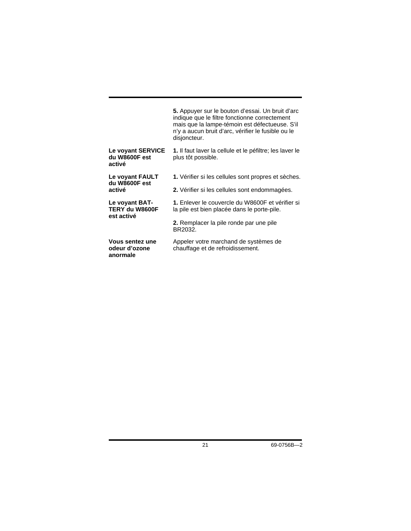|                                                | 5. Appuyer sur le bouton d'essai. Un bruit d'arc<br>indique que le filtre fonctionne correctement<br>mais que la lampe-témoin est défectueuse. S'il<br>n'y a aucun bruit d'arc, vérifier le fusible ou le<br>disjoncteur. |
|------------------------------------------------|---------------------------------------------------------------------------------------------------------------------------------------------------------------------------------------------------------------------------|
| Le voyant SERVICE<br>du W8600F est<br>activé   | 1. Il faut laver la cellule et le péfiltre; les laver le<br>plus tôt possible.                                                                                                                                            |
| Le voyant FAULT<br>du W8600F est<br>activé     | 1. Vérifier si les cellules sont propres et sèches.                                                                                                                                                                       |
|                                                | 2. Vérifier si les cellules sont endommagées.                                                                                                                                                                             |
| Le voyant BAT-<br>TERY du W8600F<br>est activé | 1. Enlever le couvercle du W8600F et vérifier si<br>la pile est bien placée dans le porte-pile.                                                                                                                           |
|                                                | 2. Remplacer la pile ronde par une pile<br>BR2032.                                                                                                                                                                        |
| Vous sentez une<br>odeur d'ozone<br>anormale   | Appeler votre marchand de systèmes de<br>chauffage et de refroidissement.                                                                                                                                                 |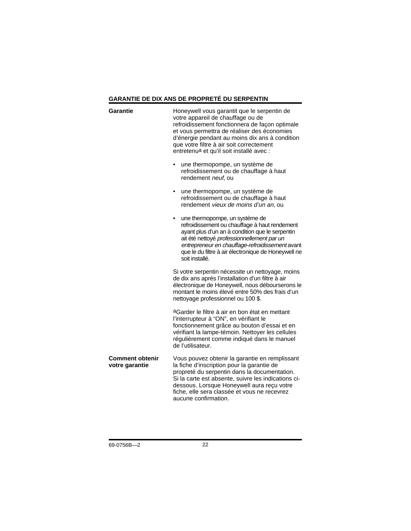### **GARANTIE DE DIX ANS DE PROPRETÉ DU SERPENTIN**

| Garantie                                 | Honeywell vous garantit que le serpentin de<br>votre appareil de chauffage ou de<br>refroidissement fonctionnera de façon optimale<br>et vous permettra de réaliser des économies<br>d'énergie pendant au moins dix ans à condition<br>que votre filtre à air soit correctement<br>entretenu <sup>a</sup> et qu'il soit installé avec : |  |  |
|------------------------------------------|-----------------------------------------------------------------------------------------------------------------------------------------------------------------------------------------------------------------------------------------------------------------------------------------------------------------------------------------|--|--|
|                                          | une thermopompe, un système de<br>refroidissement ou de chauffage à haut<br>rendement neuf, ou                                                                                                                                                                                                                                          |  |  |
|                                          | une thermopompe, un système de<br>refroidissement ou de chauffage à haut<br>rendement vieux de moins d'un an, ou                                                                                                                                                                                                                        |  |  |
|                                          | une thermopompe, un système de<br>refroidissement ou chauffage à haut rendement<br>ayant plus d'un an à condition que le serpentin<br>ait été nettoyé professionnellement par un<br>entrepreneur en chauffage-refroidissement avant<br>que le du filtre à air électronique de Honeywell ne<br>soit installé.                            |  |  |
|                                          | Si votre serpentin nécessite un nettoyage, moins<br>de dix ans après l'installation d'un filtre à air<br>électronique de Honeywell, nous débourserons le<br>montant le moins élevé entre 50% des frais d'un<br>nettoyage professionnel ou 100 \$.                                                                                       |  |  |
|                                          | aGarder le filtre à air en bon état en mettant<br>l'interrupteur à "ON", en vérifiant le<br>fonctionnement grâce au bouton d'essai et en<br>vérifiant la lampe-témoin. Nettoyer les cellules<br>régulièrement comme indiqué dans le manuel<br>de l'utilisateur.                                                                         |  |  |
| <b>Comment obtenir</b><br>votre garantie | Vous pouvez obtenir la garantie en remplissant<br>la fiche d'inscription pour la garantie de<br>propreté du serpentin dans la documentation.<br>Si la carte est absente, suivre les indications ci-<br>dessous. Lorsque Honeywell aura reçu votre<br>fiche, elle sera classée et vous ne recevrez<br>aucune confirmation.               |  |  |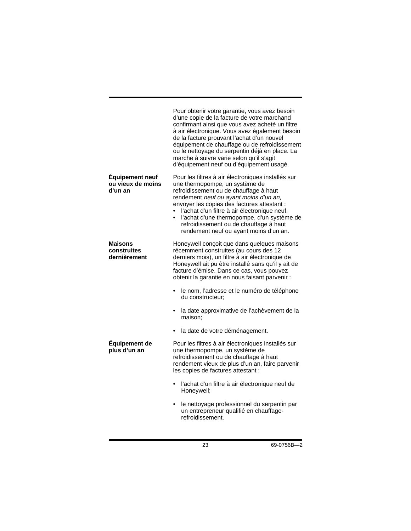| Pour obtenir votre garantie, vous avez besoin<br>d'une copie de la facture de votre marchand<br>confirmant ainsi que vous avez acheté un filtre<br>à air électronique. Vous avez également besoin<br>de la facture prouvant l'achat d'un nouvel<br>équipement de chauffage ou de refroidissement<br>ou le nettoyage du serpentin déjà en place. La<br>marche à suivre varie selon qu'il s'agit<br>d'équipement neuf ou d'équipement usagé. |
|--------------------------------------------------------------------------------------------------------------------------------------------------------------------------------------------------------------------------------------------------------------------------------------------------------------------------------------------------------------------------------------------------------------------------------------------|
| Pour les filtres à air électroniques installés sur<br>une thermopompe, un système de<br>refroidissement ou de chauffage à haut<br>rendement neuf ou ayant moins d'un an,<br>envoyer les copies des factures attestant :<br>l'achat d'un filtre à air électronique neuf.<br>l'achat d'une thermopompe, d'un système de<br>$\bullet$<br>refroidissement ou de chauffage à haut<br>rendement neuf ou ayant moins d'un an.                     |
| Honeywell conçoit que dans quelques maisons<br>récemment construites (au cours des 12<br>derniers mois), un filtre à air électronique de<br>Honeywell ait pu être installé sans qu'il y ait de<br>facture d'émise. Dans ce cas, vous pouvez<br>obtenir la garantie en nous faisant parvenir :                                                                                                                                              |
| le nom, l'adresse et le numéro de téléphone<br>$\bullet$<br>du constructeur;                                                                                                                                                                                                                                                                                                                                                               |
| la date approximative de l'achèvement de la<br>$\bullet$<br>maison:                                                                                                                                                                                                                                                                                                                                                                        |
| la date de votre déménagement.                                                                                                                                                                                                                                                                                                                                                                                                             |
| Pour les filtres à air électroniques installés sur<br>une thermopompe, un système de<br>refroidissement ou de chauffage à haut<br>rendement vieux de plus d'un an, faire parvenir<br>les copies de factures attestant :                                                                                                                                                                                                                    |
| l'achat d'un filtre à air électronique neuf de<br>٠<br>Honeywell;                                                                                                                                                                                                                                                                                                                                                                          |
| le nettoyage professionnel du serpentin par<br>٠<br>un entrepreneur qualifié en chauffage-<br>refroidissement.                                                                                                                                                                                                                                                                                                                             |
|                                                                                                                                                                                                                                                                                                                                                                                                                                            |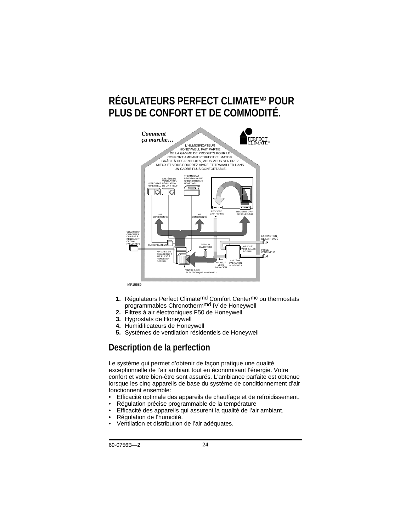# **RÉGULATEURS PERFECT CLIMATEMD POUR PLUS DE CONFORT ET DE COMMODITÉ.**



- **1.** Régulateurs Perfect Climatemd Comfort Centermc ou thermostats programmables Chronothermmd IV de Honeywell
- **2.** Filtres à air électroniques F50 de Honeywell
- **3.** Hygrostats de Honeywell
- **4.** Humidificateurs de Honeywell
- **5.** Systèmes de ventilation résidentiels de Honeywell

### **Description de la perfection**

Le système qui permet d'obtenir de façon pratique une qualité exceptionnelle de l'air ambiant tout en économisant l'énergie. Votre confort et votre bien-être sont assurés. L'ambiance parfaite est obtenue lorsque les cinq appareils de base du système de conditionnement d'air fonctionnent ensemble:

- Efficacité optimale des appareils de chauffage et de refroidissement.
- Régulation précise programmable de la température
- Efficacité des appareils qui assurent la qualité de l'air ambiant.
- Régulation de l'humidité.
- Ventilation et distribution de l'air adéquates.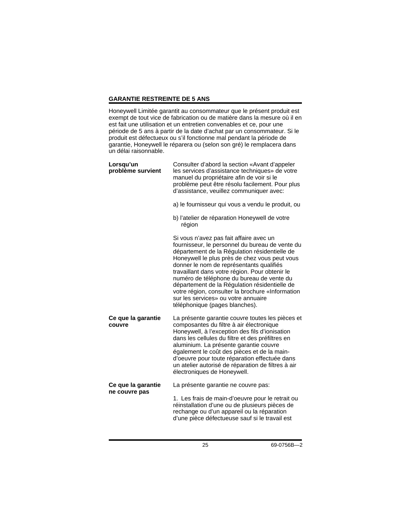### **GARANTIE RESTREINTE DE 5 ANS**

Honeywell Limitée garantit au consommateur que le présent produit est exempt de tout vice de fabrication ou de matière dans la mesure où il en est fait une utilisation et un entretien convenables et ce, pour une période de 5 ans à partir de la date d'achat par un consommateur. Si le produit est défectueux ou s'il fonctionne mal pendant la période de garantie, Honeywell le réparera ou (selon son gré) le remplacera dans un délai raisonnable.

| Lorsqu'un<br>problème survient | Consulter d'abord la section «Avant d'appeler<br>les services d'assistance techniques» de votre<br>manuel du propriétaire afin de voir si le<br>problème peut être résolu facilement. Pour plus<br>d'assistance, veuillez communiquer avec:                                                                                                                                                                                                                                                                           |
|--------------------------------|-----------------------------------------------------------------------------------------------------------------------------------------------------------------------------------------------------------------------------------------------------------------------------------------------------------------------------------------------------------------------------------------------------------------------------------------------------------------------------------------------------------------------|
|                                | a) le fournisseur qui vous a vendu le produit, ou                                                                                                                                                                                                                                                                                                                                                                                                                                                                     |
|                                | b) l'atelier de réparation Honeywell de votre<br>région                                                                                                                                                                                                                                                                                                                                                                                                                                                               |
|                                | Si vous n'avez pas fait affaire avec un<br>fournisseur, le personnel du bureau de vente du<br>département de la Régulation résidentielle de<br>Honeywell le plus près de chez vous peut vous<br>donner le nom de représentants qualifiés<br>travaillant dans votre région. Pour obtenir le<br>numéro de téléphone du bureau de vente du<br>département de la Régulation résidentielle de<br>votre région, consulter la brochure «Information<br>sur les services» ou votre annuaire<br>téléphonique (pages blanches). |
| Ce que la garantie<br>couvre   | La présente garantie couvre toutes les pièces et<br>composantes du filtre à air électronique<br>Honeywell, à l'exception des fils d'ionisation<br>dans les cellules du filtre et des préfiltres en<br>aluminium. La présente garantie couvre<br>également le coût des pièces et de la main-<br>d'oeuvre pour toute réparation effectuée dans<br>un atelier autorisé de réparation de filtres à air<br>électroniques de Honeywell.                                                                                     |
| Ce que la garantie             | La présente garantie ne couvre pas:                                                                                                                                                                                                                                                                                                                                                                                                                                                                                   |
| ne couvre pas                  | 1. Les frais de main-d'oeuvre pour le retrait ou<br>réinstallation d'une ou de plusieurs pièces de<br>rechange ou d'un appareil ou la réparation<br>d'une pièce défectueuse sauf si le travail est                                                                                                                                                                                                                                                                                                                    |

25 69-0756B—2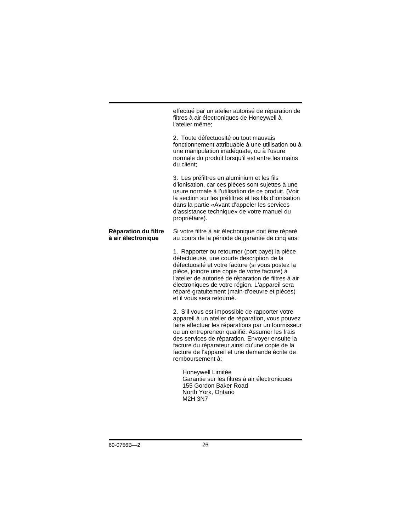effectué par un atelier autorisé de réparation de filtres à air électroniques de Honeywell à l'atelier même;

2. Toute défectuosité ou tout mauvais fonctionnement attribuable à une utilisation ou à une manipulation inadéquate, ou à l'usure normale du produit lorsqu'il est entre les mains du client;

3. Les préfiltres en aluminium et les fils d'ionisation, car ces pièces sont sujettes à une usure normale à l'utilisation de ce produit. (Voir la section sur les préfiltres et les fils d'ionisation dans la partie «Avant d'appeler les services d'assistance technique» de votre manuel du propriétaire).

### **Réparation du filtre à air électronique**

Si votre filtre à air électronique doit être réparé au cours de la période de garantie de cinq ans:

1. Rapporter ou retourner (port payé) la pièce défectueuse, une courte description de la défectuosité et votre facture (si vous postez la pièce, joindre une copie de votre facture) à l'atelier de autorisé de réparation de filtres à air électroniques de votre région. L'appareil sera réparé gratuitement (main-d'oeuvre et pièces) et il vous sera retourné.

2. S'il vous est impossible de rapporter votre appareil à un atelier de réparation, vous pouvez faire effectuer les réparations par un fournisseur ou un entrepreneur qualifié. Assumer les frais des services de réparation. Envoyer ensuite la facture du réparateur ainsi qu'une copie de la facture de l'appareil et une demande écrite de remboursement à:

Honeywell Limitée Garantie sur les filtres à air électroniques 155 Gordon Baker Road North York, Ontario M2H 3N7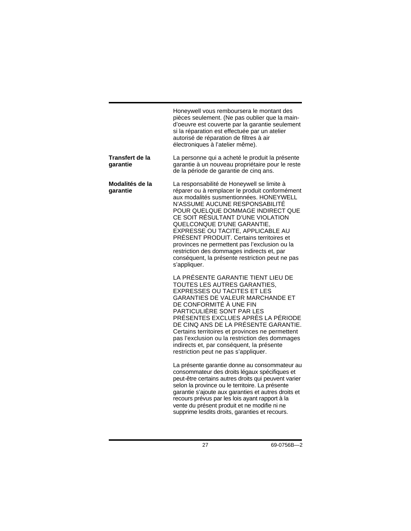|                             | Honeywell vous remboursera le montant des<br>pièces seulement. (Ne pas oublier que la main-<br>d'oeuvre est couverte par la garantie seulement<br>si la réparation est effectuée par un atelier<br>autorisé de réparation de filtres à air<br>électroniques à l'atelier même).                                                                                                                                                                                                                                                       |
|-----------------------------|--------------------------------------------------------------------------------------------------------------------------------------------------------------------------------------------------------------------------------------------------------------------------------------------------------------------------------------------------------------------------------------------------------------------------------------------------------------------------------------------------------------------------------------|
| Transfert de la<br>qarantie | La personne qui a acheté le produit la présente<br>garantie à un nouveau propriétaire pour le reste<br>de la période de garantie de cinq ans.                                                                                                                                                                                                                                                                                                                                                                                        |
| Modalités de la<br>garantie | La responsabilité de Honeywell se limite à<br>réparer ou à remplacer le produit conformément<br>aux modalités susmentionnées. HONEYWELL<br>N'ASSUME AUCUNE RESPONSABILITÉ<br>POUR QUELQUE DOMMAGE INDIRECT QUE<br>CE SOIT RÉSULTANT D'UNE VIOLATION<br>QUELCONQUE D'UNE GARANTIE,<br>EXPRESSE OU TACITE, APPLICABLE AU<br>PRÉSENT PRODUIT. Certains territoires et<br>provinces ne permettent pas l'exclusion ou la<br>restriction des dommages indirects et, par<br>conséquent, la présente restriction peut ne pas<br>s'appliquer. |
|                             | LA PRÉSENTE GARANTIE TIENT LIEU DE<br>TOUTES LES AUTRES GARANTIES,<br><b>EXPRESSES OU TACITES ET LES</b><br>GARANTIES DE VALEUR MARCHANDE ET<br>DE CONFORMITÉ À UNE FIN<br>PARTICULIÈRE SONT PAR LES<br>PRÉSENTES EXCLUES APRÈS LA PÉRIODE<br>DE CINQ ANS DE LA PRÉSENTE GARANTIE.<br>Certains territoires et provinces ne permettent<br>pas l'exclusion ou la restriction des dommages<br>indirects et, par conséquent, la présente<br>restriction peut ne pas s'appliquer.                                                         |
|                             | La présente garantie donne au consommateur au<br>consommateur des droits légaux spécifiques et<br>peut-être certains autres droits qui peuvent varier<br>selon la province ou le territoire. La présente<br>garantie s'ajoute aux garanties et autres droits et<br>recours prévus par les lois ayant rapport à la<br>vente du présent produit et ne modifie ni ne<br>supprime lesdits droits, garanties et recours.                                                                                                                  |